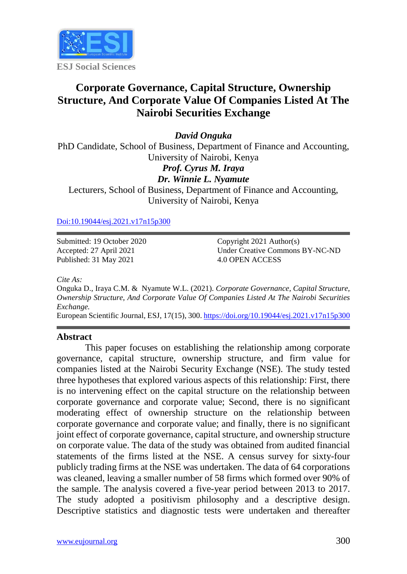

# **Corporate Governance, Capital Structure, Ownership Structure, And Corporate Value Of Companies Listed At The Nairobi Securities Exchange**

*David Onguka*

PhD Candidate, School of Business, Department of Finance and Accounting, University of Nairobi, Kenya *Prof. Cyrus M. Iraya* 

*Dr. Winnie L. Nyamute*

Lecturers, School of Business, Department of Finance and Accounting, University of Nairobi, Kenya

[Doi:10.19044/esj.2021.v17n15p300](https://doi.org/10.19044/esj.2021.v17n15p1)

Submitted: 19 October 2020 Accepted: 27 April 2021 Published: 31 May 2021

Copyright 2021 Author(s) Under Creative Commons BY-NC-ND 4.0 OPEN ACCESS

*Cite As:*

Onguka D., Iraya C.M. & Nyamute W.L. (2021). *Corporate Governance, Capital Structure, Ownership Structure, And Corporate Value Of Companies Listed At The Nairobi Securities Exchange.*

European Scientific Journal, ESJ, 17(15), 300[. https://doi.org/10.19044/esj.2021.v17n15p300](https://doi.org/10.19044/esj.2021.v17n15p300)

#### **Abstract**

This paper focuses on establishing the relationship among corporate governance, capital structure, ownership structure, and firm value for companies listed at the Nairobi Security Exchange (NSE). The study tested three hypotheses that explored various aspects of this relationship: First, there is no intervening effect on the capital structure on the relationship between corporate governance and corporate value; Second, there is no significant moderating effect of ownership structure on the relationship between corporate governance and corporate value; and finally, there is no significant joint effect of corporate governance, capital structure, and ownership structure on corporate value. The data of the study was obtained from audited financial statements of the firms listed at the NSE. A census survey for sixty-four publicly trading firms at the NSE was undertaken. The data of 64 corporations was cleaned, leaving a smaller number of 58 firms which formed over 90% of the sample. The analysis covered a five-year period between 2013 to 2017. The study adopted a positivism philosophy and a descriptive design. Descriptive statistics and diagnostic tests were undertaken and thereafter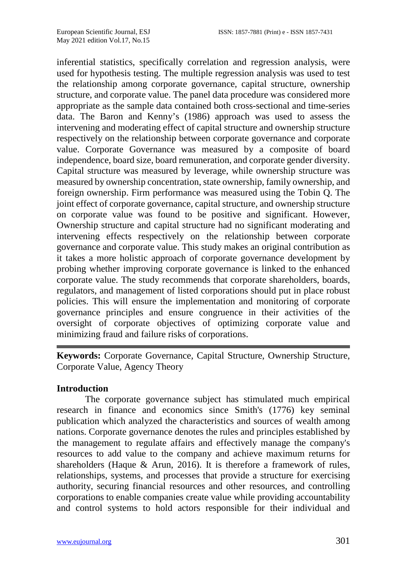inferential statistics, specifically correlation and regression analysis, were used for hypothesis testing. The multiple regression analysis was used to test the relationship among corporate governance, capital structure, ownership structure, and corporate value. The panel data procedure was considered more appropriate as the sample data contained both cross-sectional and time-series data. The Baron and Kenny's (1986) approach was used to assess the intervening and moderating effect of capital structure and ownership structure respectively on the relationship between corporate governance and corporate value. Corporate Governance was measured by a composite of board independence, board size, board remuneration, and corporate gender diversity. Capital structure was measured by leverage, while ownership structure was measured by ownership concentration, state ownership, family ownership, and foreign ownership. Firm performance was measured using the Tobin Q. The joint effect of corporate governance, capital structure, and ownership structure on corporate value was found to be positive and significant. However, Ownership structure and capital structure had no significant moderating and intervening effects respectively on the relationship between corporate governance and corporate value. This study makes an original contribution as it takes a more holistic approach of corporate governance development by probing whether improving corporate governance is linked to the enhanced corporate value. The study recommends that corporate shareholders, boards, regulators, and management of listed corporations should put in place robust policies. This will ensure the implementation and monitoring of corporate governance principles and ensure congruence in their activities of the oversight of corporate objectives of optimizing corporate value and minimizing fraud and failure risks of corporations.

**Keywords:** Corporate Governance, Capital Structure, Ownership Structure, Corporate Value, Agency Theory

### **Introduction**

The corporate governance subject has stimulated much empirical research in finance and economics since Smith's (1776) key seminal publication which analyzed the characteristics and sources of wealth among nations. Corporate governance denotes the rules and principles established by the management to regulate affairs and effectively manage the company's resources to add value to the company and achieve maximum returns for shareholders (Haque & Arun, 2016). It is therefore a framework of rules, relationships, systems, and processes that provide a structure for exercising authority, securing financial resources and other resources, and controlling corporations to enable companies create value while providing accountability and control systems to hold actors responsible for their individual and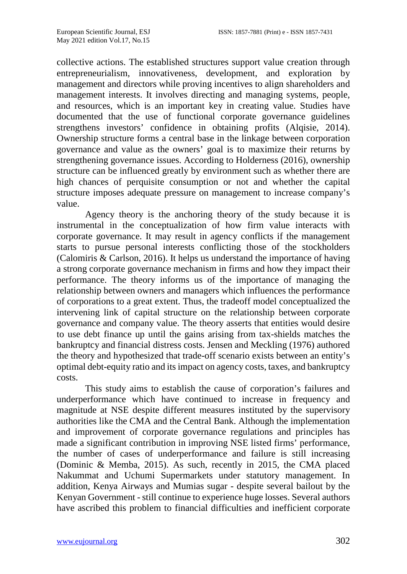collective actions. The established structures support value creation through entrepreneurialism, innovativeness, development, and exploration by management and directors while proving incentives to align shareholders and management interests. It involves directing and managing systems, people, and resources, which is an important key in creating value. Studies have documented that the use of functional corporate governance guidelines strengthens investors' confidence in obtaining profits (Alqisie, 2014). Ownership structure forms a central base in the linkage between corporation governance and value as the owners' goal is to maximize their returns by strengthening governance issues. According to Holderness (2016), ownership structure can be influenced greatly by environment such as whether there are high chances of perquisite consumption or not and whether the capital structure imposes adequate pressure on management to increase company's value.

Agency theory is the anchoring theory of the study because it is instrumental in the conceptualization of how firm value interacts with corporate governance. It may result in agency conflicts if the management starts to pursue personal interests conflicting those of the stockholders (Calomiris & Carlson, 2016). It helps us understand the importance of having a strong corporate governance mechanism in firms and how they impact their performance. The theory informs us of the importance of managing the relationship between owners and managers which influences the performance of corporations to a great extent. Thus, the tradeoff model conceptualized the intervening link of capital structure on the relationship between corporate governance and company value. The theory asserts that entities would desire to use debt finance up until the gains arising from tax-shields matches the bankruptcy and financial distress costs. Jensen and Meckling (1976) authored the theory and hypothesized that trade-off scenario exists between an entity's optimal debt-equity ratio and its impact on agency costs, taxes, and bankruptcy costs.

This study aims to establish the cause of corporation's failures and underperformance which have continued to increase in frequency and magnitude at NSE despite different measures instituted by the supervisory authorities like the CMA and the Central Bank. Although the implementation and improvement of corporate governance regulations and principles has made a significant contribution in improving NSE listed firms' performance, the number of cases of underperformance and failure is still increasing (Dominic & Memba, 2015). As such, recently in 2015, the CMA placed Nakummat and Uchumi Supermarkets under statutory management. In addition, Kenya Airways and Mumias sugar - despite several bailout by the Kenyan Government - still continue to experience huge losses. Several authors have ascribed this problem to financial difficulties and inefficient corporate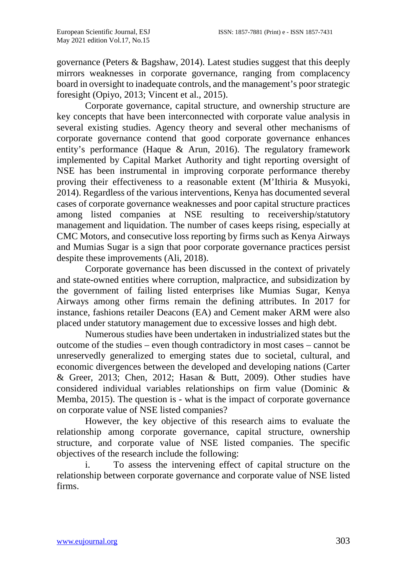governance (Peters & Bagshaw, 2014). Latest studies suggest that this deeply mirrors weaknesses in corporate governance, ranging from complacency board in oversight to inadequate controls, and the management's poor strategic foresight (Opiyo, 2013; Vincent et al., 2015).

Corporate governance, capital structure, and ownership structure are key concepts that have been interconnected with corporate value analysis in several existing studies. Agency theory and several other mechanisms of corporate governance contend that good corporate governance enhances entity's performance (Haque & Arun, 2016). The regulatory framework implemented by Capital Market Authority and tight reporting oversight of NSE has been instrumental in improving corporate performance thereby proving their effectiveness to a reasonable extent (M'Ithiria & Musyoki, 2014). Regardless of the various interventions, Kenya has documented several cases of corporate governance weaknesses and poor capital structure practices among listed companies at NSE resulting to receivership/statutory management and liquidation. The number of cases keeps rising, especially at CMC Motors, and consecutive loss reporting by firms such as Kenya Airways and Mumias Sugar is a sign that poor corporate governance practices persist despite these improvements (Ali, 2018).

Corporate governance has been discussed in the context of privately and state-owned entities where corruption, malpractice, and subsidization by the government of failing listed enterprises like Mumias Sugar, Kenya Airways among other firms remain the defining attributes. In 2017 for instance, fashions retailer Deacons (EA) and Cement maker ARM were also placed under statutory management due to excessive losses and high debt.

Numerous studies have been undertaken in industrialized states but the outcome of the studies – even though contradictory in most cases – cannot be unreservedly generalized to emerging states due to societal, cultural, and economic divergences between the developed and developing nations (Carter & Greer, 2013; Chen, 2012; Hasan & Butt, 2009). Other studies have considered individual variables relationships on firm value (Dominic & Memba, 2015). The question is - what is the impact of corporate governance on corporate value of NSE listed companies?

However, the key objective of this research aims to evaluate the relationship among corporate governance, capital structure, ownership structure, and corporate value of NSE listed companies. The specific objectives of the research include the following:

To assess the intervening effect of capital structure on the relationship between corporate governance and corporate value of NSE listed firms.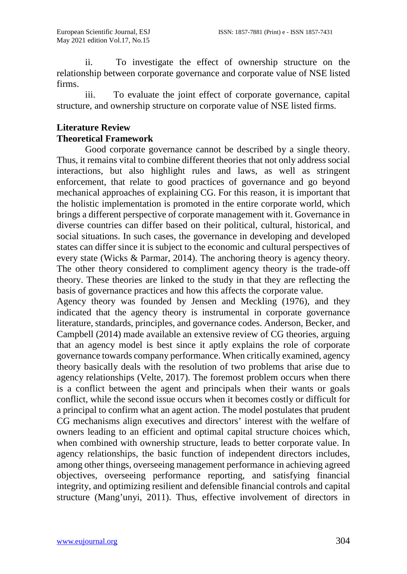ii. To investigate the effect of ownership structure on the relationship between corporate governance and corporate value of NSE listed firms.

iii. To evaluate the joint effect of corporate governance, capital structure, and ownership structure on corporate value of NSE listed firms.

### **Literature Review Theoretical Framework**

Good corporate governance cannot be described by a single theory. Thus, it remains vital to combine different theories that not only address social interactions, but also highlight rules and laws, as well as stringent enforcement, that relate to good practices of governance and go beyond mechanical approaches of explaining CG. For this reason, it is important that the holistic implementation is promoted in the entire corporate world, which brings a different perspective of corporate management with it. Governance in diverse countries can differ based on their political, cultural, historical, and social situations. In such cases, the governance in developing and developed states can differ since it is subject to the economic and cultural perspectives of every state (Wicks & Parmar, 2014). The anchoring theory is agency theory. The other theory considered to compliment agency theory is the trade-off theory. These theories are linked to the study in that they are reflecting the basis of governance practices and how this affects the corporate value.

Agency theory was founded by Jensen and Meckling (1976), and they indicated that the agency theory is instrumental in corporate governance literature, standards, principles, and governance codes. Anderson, Becker, and Campbell (2014) made available an extensive review of CG theories, arguing that an agency model is best since it aptly explains the role of corporate governance towards company performance. When critically examined, agency theory basically deals with the resolution of two problems that arise due to agency relationships (Velte, 2017). The foremost problem occurs when there is a conflict between the agent and principals when their wants or goals conflict, while the second issue occurs when it becomes costly or difficult for a principal to confirm what an agent action. The model postulates that prudent CG mechanisms align executives and directors' interest with the welfare of owners leading to an efficient and optimal capital structure choices which, when combined with ownership structure, leads to better corporate value. In agency relationships, the basic function of independent directors includes, among other things, overseeing management performance in achieving agreed objectives, overseeing performance reporting, and satisfying financial integrity, and optimizing resilient and defensible financial controls and capital structure (Mang'unyi, 2011). Thus, effective involvement of directors in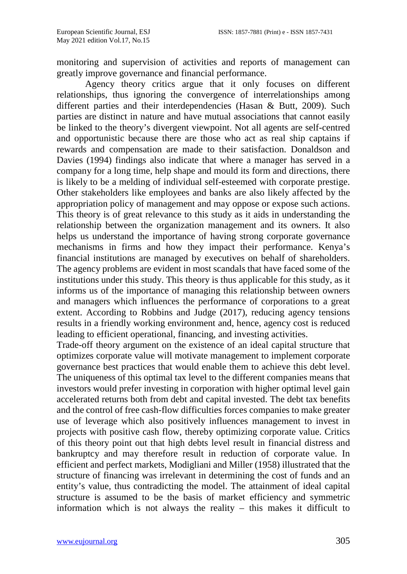monitoring and supervision of activities and reports of management can greatly improve governance and financial performance.

Agency theory critics argue that it only focuses on different relationships, thus ignoring the convergence of interrelationships among different parties and their interdependencies (Hasan & Butt, 2009). Such parties are distinct in nature and have mutual associations that cannot easily be linked to the theory's divergent viewpoint. Not all agents are self-centred and opportunistic because there are those who act as real ship captains if rewards and compensation are made to their satisfaction. Donaldson and Davies (1994) findings also indicate that where a manager has served in a company for a long time, help shape and mould its form and directions, there is likely to be a melding of individual self-esteemed with corporate prestige. Other stakeholders like employees and banks are also likely affected by the appropriation policy of management and may oppose or expose such actions. This theory is of great relevance to this study as it aids in understanding the relationship between the organization management and its owners. It also helps us understand the importance of having strong corporate governance mechanisms in firms and how they impact their performance. Kenya's financial institutions are managed by executives on behalf of shareholders. The agency problems are evident in most scandals that have faced some of the institutions under this study. This theory is thus applicable for this study, as it informs us of the importance of managing this relationship between owners and managers which influences the performance of corporations to a great extent. According to Robbins and Judge (2017), reducing agency tensions results in a friendly working environment and, hence, agency cost is reduced leading to efficient operational, financing, and investing activities.

Trade-off theory argument on the existence of an ideal capital structure that optimizes corporate value will motivate management to implement corporate governance best practices that would enable them to achieve this debt level. The uniqueness of this optimal tax level to the different companies means that investors would prefer investing in corporation with higher optimal level gain accelerated returns both from debt and capital invested. The debt tax benefits and the control of free cash-flow difficulties forces companies to make greater use of leverage which also positively influences management to invest in projects with positive cash flow, thereby optimizing corporate value. Critics of this theory point out that high debts level result in financial distress and bankruptcy and may therefore result in reduction of corporate value. In efficient and perfect markets, Modigliani and Miller (1958) illustrated that the structure of financing was irrelevant in determining the cost of funds and an entity's value, thus contradicting the model. The attainment of ideal capital structure is assumed to be the basis of market efficiency and symmetric information which is not always the reality – this makes it difficult to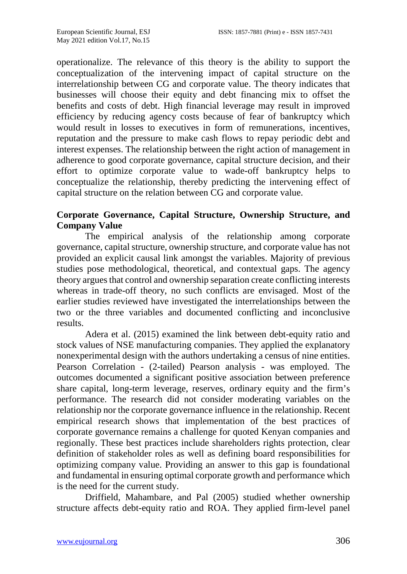operationalize. The relevance of this theory is the ability to support the conceptualization of the intervening impact of capital structure on the interrelationship between CG and corporate value. The theory indicates that businesses will choose their equity and debt financing mix to offset the benefits and costs of debt. High financial leverage may result in improved efficiency by reducing agency costs because of fear of bankruptcy which would result in losses to executives in form of remunerations, incentives, reputation and the pressure to make cash flows to repay periodic debt and interest expenses. The relationship between the right action of management in adherence to good corporate governance, capital structure decision, and their effort to optimize corporate value to wade-off bankruptcy helps to conceptualize the relationship, thereby predicting the intervening effect of capital structure on the relation between CG and corporate value.

### **Corporate Governance, Capital Structure, Ownership Structure, and Company Value**

The empirical analysis of the relationship among corporate governance, capital structure, ownership structure, and corporate value has not provided an explicit causal link amongst the variables. Majority of previous studies pose methodological, theoretical, and contextual gaps. The agency theory argues that control and ownership separation create conflicting interests whereas in trade-off theory, no such conflicts are envisaged. Most of the earlier studies reviewed have investigated the interrelationships between the two or the three variables and documented conflicting and inconclusive results.

Adera et al. (2015) examined the link between debt-equity ratio and stock values of NSE manufacturing companies. They applied the explanatory nonexperimental design with the authors undertaking a census of nine entities. Pearson Correlation - (2-tailed) Pearson analysis - was employed. The outcomes documented a significant positive association between preference share capital, long-term leverage, reserves, ordinary equity and the firm's performance. The research did not consider moderating variables on the relationship nor the corporate governance influence in the relationship. Recent empirical research shows that implementation of the best practices of corporate governance remains a challenge for quoted Kenyan companies and regionally. These best practices include shareholders rights protection, clear definition of stakeholder roles as well as defining board responsibilities for optimizing company value. Providing an answer to this gap is foundational and fundamental in ensuring optimal corporate growth and performance which is the need for the current study.

Driffield, Mahambare, and Pal (2005) studied whether ownership structure affects debt-equity ratio and ROA. They applied firm-level panel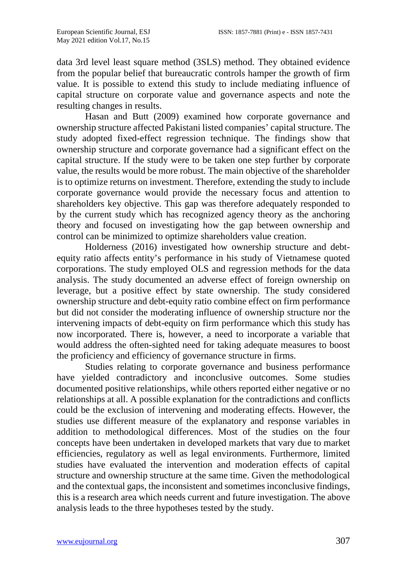data 3rd level least square method (3SLS) method. They obtained evidence from the popular belief that bureaucratic controls hamper the growth of firm value. It is possible to extend this study to include mediating influence of capital structure on corporate value and governance aspects and note the resulting changes in results.

Hasan and Butt (2009) examined how corporate governance and ownership structure affected Pakistani listed companies' capital structure. The study adopted fixed-effect regression technique. The findings show that ownership structure and corporate governance had a significant effect on the capital structure. If the study were to be taken one step further by corporate value, the results would be more robust. The main objective of the shareholder is to optimize returns on investment. Therefore, extending the study to include corporate governance would provide the necessary focus and attention to shareholders key objective. This gap was therefore adequately responded to by the current study which has recognized agency theory as the anchoring theory and focused on investigating how the gap between ownership and control can be minimized to optimize shareholders value creation.

Holderness (2016) investigated how ownership structure and debtequity ratio affects entity's performance in his study of Vietnamese quoted corporations. The study employed OLS and regression methods for the data analysis. The study documented an adverse effect of foreign ownership on leverage, but a positive effect by state ownership. The study considered ownership structure and debt-equity ratio combine effect on firm performance but did not consider the moderating influence of ownership structure nor the intervening impacts of debt-equity on firm performance which this study has now incorporated. There is, however, a need to incorporate a variable that would address the often-sighted need for taking adequate measures to boost the proficiency and efficiency of governance structure in firms.

Studies relating to corporate governance and business performance have yielded contradictory and inconclusive outcomes. Some studies documented positive relationships, while others reported either negative or no relationships at all. A possible explanation for the contradictions and conflicts could be the exclusion of intervening and moderating effects. However, the studies use different measure of the explanatory and response variables in addition to methodological differences. Most of the studies on the four concepts have been undertaken in developed markets that vary due to market efficiencies, regulatory as well as legal environments. Furthermore, limited studies have evaluated the intervention and moderation effects of capital structure and ownership structure at the same time. Given the methodological and the contextual gaps, the inconsistent and sometimes inconclusive findings, this is a research area which needs current and future investigation. The above analysis leads to the three hypotheses tested by the study.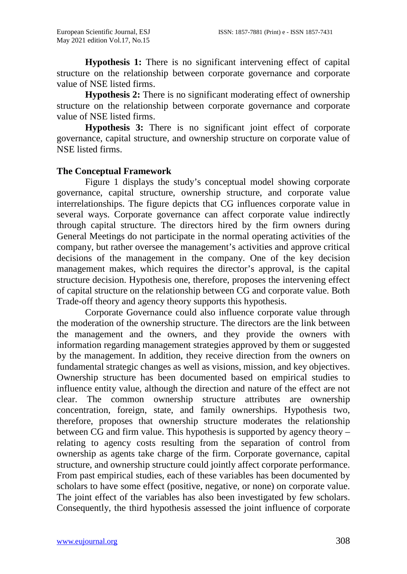**Hypothesis 1:** There is no significant intervening effect of capital structure on the relationship between corporate governance and corporate value of NSE listed firms.

**Hypothesis 2:** There is no significant moderating effect of ownership structure on the relationship between corporate governance and corporate value of NSE listed firms.

**Hypothesis 3:** There is no significant joint effect of corporate governance, capital structure, and ownership structure on corporate value of NSE listed firms.

### **The Conceptual Framework**

Figure 1 displays the study's conceptual model showing corporate governance, capital structure, ownership structure, and corporate value interrelationships. The figure depicts that CG influences corporate value in several ways. Corporate governance can affect corporate value indirectly through capital structure. The directors hired by the firm owners during General Meetings do not participate in the normal operating activities of the company, but rather oversee the management's activities and approve critical decisions of the management in the company. One of the key decision management makes, which requires the director's approval, is the capital structure decision. Hypothesis one, therefore, proposes the intervening effect of capital structure on the relationship between CG and corporate value. Both Trade-off theory and agency theory supports this hypothesis.

Corporate Governance could also influence corporate value through the moderation of the ownership structure. The directors are the link between the management and the owners, and they provide the owners with information regarding management strategies approved by them or suggested by the management. In addition, they receive direction from the owners on fundamental strategic changes as well as visions, mission, and key objectives. Ownership structure has been documented based on empirical studies to influence entity value, although the direction and nature of the effect are not clear. The common ownership structure attributes are ownership concentration, foreign, state, and family ownerships. Hypothesis two, therefore, proposes that ownership structure moderates the relationship between CG and firm value. This hypothesis is supported by agency theory – relating to agency costs resulting from the separation of control from ownership as agents take charge of the firm. Corporate governance, capital structure, and ownership structure could jointly affect corporate performance. From past empirical studies, each of these variables has been documented by scholars to have some effect (positive, negative, or none) on corporate value. The joint effect of the variables has also been investigated by few scholars. Consequently, the third hypothesis assessed the joint influence of corporate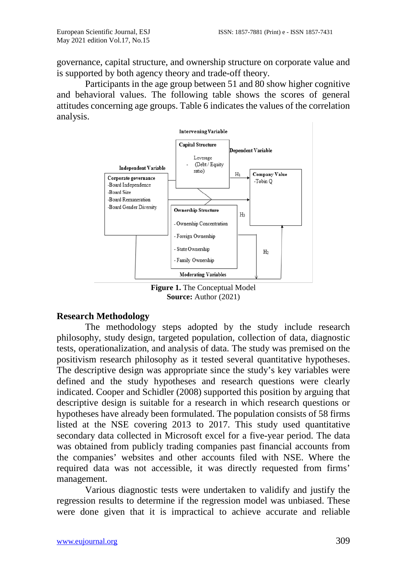governance, capital structure, and ownership structure on corporate value and is supported by both agency theory and trade-off theory.

Participants in the age group between 51 and 80 show higher cognitive and behavioral values. The following table shows the scores of general attitudes concerning age groups. Table 6 indicates the values of the correlation analysis.



**Figure 1.** The Conceptual Model **Source:** Author (2021)

### **Research Methodology**

The methodology steps adopted by the study include research philosophy, study design, targeted population, collection of data, diagnostic tests, operationalization, and analysis of data. The study was premised on the positivism research philosophy as it tested several quantitative hypotheses. The descriptive design was appropriate since the study's key variables were defined and the study hypotheses and research questions were clearly indicated. Cooper and Schidler (2008) supported this position by arguing that descriptive design is suitable for a research in which research questions or hypotheses have already been formulated. The population consists of 58 firms listed at the NSE covering 2013 to 2017. This study used quantitative secondary data collected in Microsoft excel for a five-year period. The data was obtained from publicly trading companies past financial accounts from the companies' websites and other accounts filed with NSE. Where the required data was not accessible, it was directly requested from firms' management.

Various diagnostic tests were undertaken to validify and justify the regression results to determine if the regression model was unbiased. These were done given that it is impractical to achieve accurate and reliable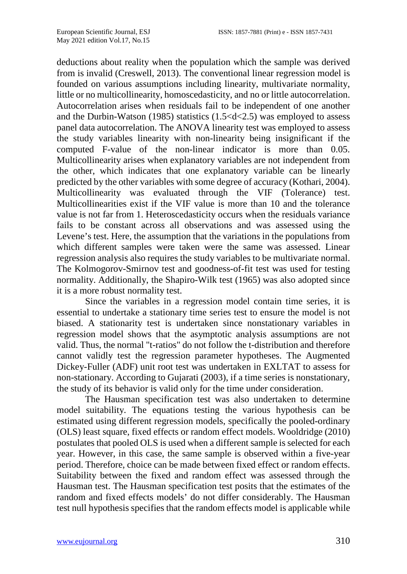deductions about reality when the population which the sample was derived from is invalid (Creswell, 2013). The conventional linear regression model is founded on various assumptions including linearity, multivariate normality, little or no multicollinearity, homoscedasticity, and no or little autocorrelation. Autocorrelation arises when residuals fail to be independent of one another and the Durbin-Watson (1985) statistics (1.5<d<2.5) was employed to assess panel data autocorrelation. The ANOVA linearity test was employed to assess the study variables linearity with non-linearity being insignificant if the computed F-value of the non-linear indicator is more than 0.05. Multicollinearity arises when explanatory variables are not independent from the other, which indicates that one explanatory variable can be linearly predicted by the other variables with some degree of accuracy (Kothari, 2004). Multicollinearity was evaluated through the VIF (Tolerance) test. Multicollinearities exist if the VIF value is more than 10 and the tolerance value is not far from 1. Heteroscedasticity occurs when the residuals variance fails to be constant across all observations and was assessed using the Levene's test. Here, the assumption that the variations in the populations from which different samples were taken were the same was assessed. Linear regression analysis also requires the study variables to be multivariate normal. The Kolmogorov-Smirnov test and goodness-of-fit test was used for testing normality. Additionally, the Shapiro-Wilk test (1965) was also adopted since it is a more robust normality test.

Since the variables in a regression model contain time series, it is essential to undertake a stationary time series test to ensure the model is not biased. A stationarity test is undertaken since nonstationary variables in regression model shows that the asymptotic analysis assumptions are not valid. Thus, the normal "t-ratios" do not follow the t-distribution and therefore cannot validly test the regression parameter hypotheses. The Augmented Dickey-Fuller (ADF) unit root test was undertaken in EXLTAT to assess for non-stationary. According to Gujarati (2003), if a time series is nonstationary, the study of its behavior is valid only for the time under consideration.

The Hausman specification test was also undertaken to determine model suitability. The equations testing the various hypothesis can be estimated using different regression models, specifically the pooled-ordinary (OLS) least square, fixed effects or random effect models. Wooldridge (2010) postulates that pooled OLS is used when a different sample is selected for each year. However, in this case, the same sample is observed within a five-year period. Therefore, choice can be made between fixed effect or random effects. Suitability between the fixed and random effect was assessed through the Hausman test. The Hausman specification test posits that the estimates of the random and fixed effects models' do not differ considerably. The Hausman test null hypothesis specifies that the random effects model is applicable while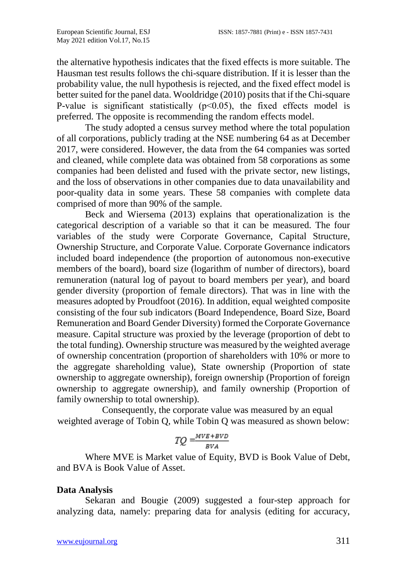the alternative hypothesis indicates that the fixed effects is more suitable. The Hausman test results follows the chi-square distribution. If it is lesser than the probability value, the null hypothesis is rejected, and the fixed effect model is better suited for the panel data. Wooldridge (2010) posits that if the Chi-square P-value is significant statistically  $(p<0.05)$ , the fixed effects model is preferred. The opposite is recommending the random effects model.

The study adopted a census survey method where the total population of all corporations, publicly trading at the NSE numbering 64 as at December 2017, were considered. However, the data from the 64 companies was sorted and cleaned, while complete data was obtained from 58 corporations as some companies had been delisted and fused with the private sector, new listings, and the loss of observations in other companies due to data unavailability and poor-quality data in some years. These 58 companies with complete data comprised of more than 90% of the sample.

Beck and Wiersema (2013) explains that operationalization is the categorical description of a variable so that it can be measured. The four variables of the study were Corporate Governance, Capital Structure, Ownership Structure, and Corporate Value. Corporate Governance indicators included board independence (the proportion of autonomous non-executive members of the board), board size (logarithm of number of directors), board remuneration (natural log of payout to board members per year), and board gender diversity (proportion of female directors). That was in line with the measures adopted by Proudfoot (2016). In addition, equal weighted composite consisting of the four sub indicators (Board Independence, Board Size, Board Remuneration and Board Gender Diversity) formed the Corporate Governance measure. Capital structure was proxied by the leverage (proportion of debt to the total funding). Ownership structure was measured by the weighted average of ownership concentration (proportion of shareholders with 10% or more to the aggregate shareholding value), State ownership (Proportion of state ownership to aggregate ownership), foreign ownership (Proportion of foreign ownership to aggregate ownership), and family ownership (Proportion of family ownership to total ownership).

Consequently, the corporate value was measured by an equal weighted average of Tobin Q, while Tobin Q was measured as shown below:

$$
TQ = \frac{MVE + BVD}{BVA}
$$

Where MVE is Market value of Equity, BVD is Book Value of Debt, and BVA is Book Value of Asset.

### **Data Analysis**

Sekaran and Bougie (2009) suggested a four-step approach for analyzing data, namely: preparing data for analysis (editing for accuracy,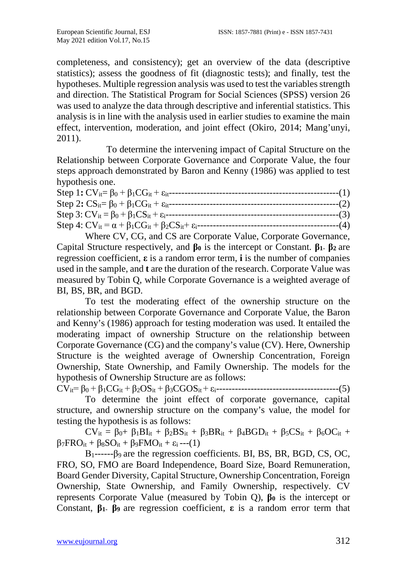completeness, and consistency); get an overview of the data (descriptive statistics); assess the goodness of fit (diagnostic tests); and finally, test the hypotheses. Multiple regression analysis was used to test the variables strength and direction. The Statistical Program for Social Sciences (SPSS) version 26 was used to analyze the data through descriptive and inferential statistics. This analysis is in line with the analysis used in earlier studies to examine the main effect, intervention, moderation, and joint effect (Okiro, 2014; Mang'unyi, 2011).

To determine the intervening impact of Capital Structure on the Relationship between Corporate Governance and Corporate Value, the four steps approach demonstrated by Baron and Kenny (1986) was applied to test hypothesis one.

| Step 1: $CV_{it} = \beta_0 + \beta_1 CG_{it} + \varepsilon_{it}$ --            | $---(1)$ |
|--------------------------------------------------------------------------------|----------|
| Step 2: $CS_{it} = \beta_0 + \beta_1 CG_{it} + \varepsilon_{it}$               | $-(-2)$  |
| Step 3: $CV_{it} = \beta_0 + \beta_1 CS_{it} + \varepsilon_i$ ----             | $---(3)$ |
| Step 4: $CV_{it} = \alpha + \beta_1 CG_{it} + \beta_2 CS_{it} + \varepsilon_i$ | $---(4)$ |

Where CV, CG, and CS are Corporate Value, Corporate Governance, Capital Structure respectively, and **β<sup>0</sup>** is the intercept or Constant. **β1- β<sup>2</sup>** are regression coefficient, **ε** is a random error term, **i** is the number of companies used in the sample, and **t** are the duration of the research. Corporate Value was measured by Tobin Q, while Corporate Governance is a weighted average of BI, BS, BR, and BGD.

To test the moderating effect of the ownership structure on the relationship between Corporate Governance and Corporate Value, the Baron and Kenny's (1986) approach for testing moderation was used. It entailed the moderating impact of ownership Structure on the relationship between Corporate Governance (CG) and the company's value (CV). Here, Ownership Structure is the weighted average of Ownership Concentration, Foreign Ownership, State Ownership, and Family Ownership. The models for the hypothesis of Ownership Structure are as follows:

CVit= β<sup>0</sup> + β1CGit + β2OSit + β3CGOSit + εi---------------------------------------(5)

To determine the joint effect of corporate governance, capital structure, and ownership structure on the company's value, the model for testing the hypothesis is as follows:

 $CV_{it} = \beta_0 + \beta_1 BI_{it} + \beta_2 BS_{it} + \beta_3 BR_{it} + \beta_4 BGD_{it} + \beta_5 CS_{it} + \beta_6 OC_{it} +$  $β_7FRO_{it} + β_8SO_{it} + β_9FMO_{it} + ε_i --(1)$ 

 $B_1$ ------ $\beta_9$  are the regression coefficients. BI, BS, BR, BGD, CS, OC, FRO, SO, FMO are Board Independence, Board Size, Board Remuneration, Board Gender Diversity, Capital Structure, Ownership Concentration, Foreign Ownership, State Ownership, and Family Ownership, respectively. CV represents Corporate Value (measured by Tobin Q), **β<sup>0</sup>** is the intercept or Constant, **β1- β<sup>9</sup>** are regression coefficient, **ε** is a random error term that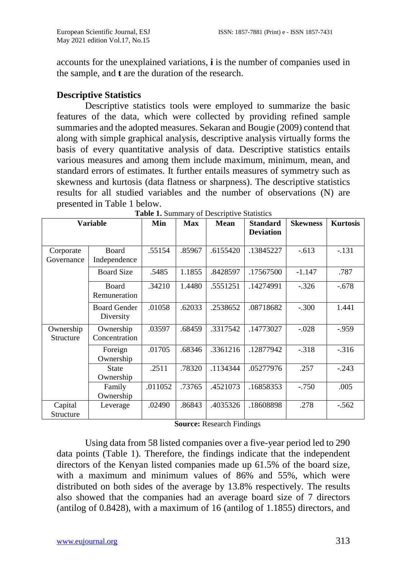accounts for the unexplained variations, **i** is the number of companies used in the sample, and **t** are the duration of the research.

### **Descriptive Statistics**

Descriptive statistics tools were employed to summarize the basic features of the data, which were collected by providing refined sample summaries and the adopted measures. Sekaran and Bougie (2009) contend that along with simple graphical analysis, descriptive analysis virtually forms the basis of every quantitative analysis of data. Descriptive statistics entails various measures and among them include maximum, minimum, mean, and standard errors of estimates. It further entails measures of symmetry such as skewness and kurtosis (data flatness or sharpness). The descriptive statistics results for all studied variables and the number of observations (N) are presented in Table 1 below.

| <b>Variable</b>         |                                  | Min     | <b>Max</b> | <b>Mean</b> | <b>Standard</b><br><b>Deviation</b> | <b>Skewness</b> | <b>Kurtosis</b> |
|-------------------------|----------------------------------|---------|------------|-------------|-------------------------------------|-----------------|-----------------|
| Corporate<br>Governance | <b>Board</b><br>Independence     | .55154  | .85967     | .6155420    | .13845227                           | $-.613$         | $-.131$         |
|                         | <b>Board Size</b>                | .5485   | 1.1855     | .8428597    | .17567500                           | $-1.147$        | .787            |
|                         | Board<br>Remuneration            | .34210  | 1.4480     | .5551251    | .14274991                           | $-.326$         | $-.678$         |
|                         | <b>Board Gender</b><br>Diversity | .01058  | .62033     | .2538652    | .08718682                           | $-.300$         | 1.441           |
| Ownership<br>Structure  | Ownership<br>Concentration       | .03597  | .68459     | .3317542    | .14773027                           | $-.028$         | $-0.959$        |
|                         | Foreign<br>Ownership             | .01705  | .68346     | .3361216    | .12877942                           | $-.318$         | $-.316$         |
|                         | <b>State</b><br>Ownership        | .2511   | .78320     | .1134344    | .05277976                           | .257            | $-.243$         |
|                         | Family<br>Ownership              | .011052 | .73765     | .4521073    | .16858353                           | $-.750$         | .005            |
| Capital<br>Structure    | Leverage                         | .02490  | .86843     | .4035326    | .18608898                           | .278            | $-.562$         |

**Table 1.** Summary of Descriptive Statistics

**Source:** Research Findings

Using data from 58 listed companies over a five-year period led to 290 data points (Table 1). Therefore, the findings indicate that the independent directors of the Kenyan listed companies made up 61.5% of the board size, with a maximum and minimum values of 86% and 55%, which were distributed on both sides of the average by 13.8% respectively. The results also showed that the companies had an average board size of 7 directors (antilog of 0.8428), with a maximum of 16 (antilog of 1.1855) directors, and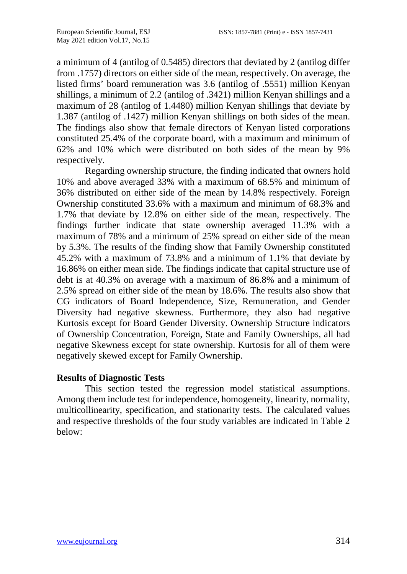a minimum of 4 (antilog of 0.5485) directors that deviated by 2 (antilog differ from .1757) directors on either side of the mean, respectively. On average, the listed firms' board remuneration was 3.6 (antilog of .5551) million Kenyan shillings, a minimum of 2.2 (antilog of .3421) million Kenyan shillings and a maximum of 28 (antilog of 1.4480) million Kenyan shillings that deviate by 1.387 (antilog of .1427) million Kenyan shillings on both sides of the mean. The findings also show that female directors of Kenyan listed corporations constituted 25.4% of the corporate board, with a maximum and minimum of 62% and 10% which were distributed on both sides of the mean by 9% respectively.

Regarding ownership structure, the finding indicated that owners hold 10% and above averaged 33% with a maximum of 68.5% and minimum of 36% distributed on either side of the mean by 14.8% respectively. Foreign Ownership constituted 33.6% with a maximum and minimum of 68.3% and 1.7% that deviate by 12.8% on either side of the mean, respectively. The findings further indicate that state ownership averaged 11.3% with a maximum of 78% and a minimum of 25% spread on either side of the mean by 5.3%. The results of the finding show that Family Ownership constituted 45.2% with a maximum of 73.8% and a minimum of 1.1% that deviate by 16.86% on either mean side. The findings indicate that capital structure use of debt is at 40.3% on average with a maximum of 86.8% and a minimum of 2.5% spread on either side of the mean by 18.6%. The results also show that CG indicators of Board Independence, Size, Remuneration, and Gender Diversity had negative skewness. Furthermore, they also had negative Kurtosis except for Board Gender Diversity. Ownership Structure indicators of Ownership Concentration, Foreign, State and Family Ownerships, all had negative Skewness except for state ownership. Kurtosis for all of them were negatively skewed except for Family Ownership.

### **Results of Diagnostic Tests**

This section tested the regression model statistical assumptions. Among them include test for independence, homogeneity, linearity, normality, multicollinearity, specification, and stationarity tests. The calculated values and respective thresholds of the four study variables are indicated in Table 2 below: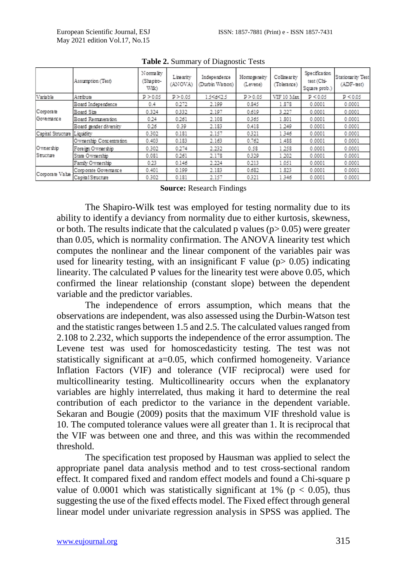|                   | Assumption (Test)        | Normality<br>(Shapiro-<br>Wilk) | Linearity<br>(ANOVA) | Independence<br>(Durbin Watson)                                                                         | Homogeneity<br>(Levene) | Collinearity<br>(Tolerance) | Specification<br>test (Chi-<br>Square prob.) | <b>Stationarity Test</b><br>(ADF-test) |
|-------------------|--------------------------|---------------------------------|----------------------|---------------------------------------------------------------------------------------------------------|-------------------------|-----------------------------|----------------------------------------------|----------------------------------------|
| Variable          | Attribute                | P > 0.05                        | P > 0.05             | 15 <d<25< th=""><th>P &gt; 0.05</th><th>VIF 10 Max</th><th>P &lt; 0.05</th><th>P &lt; 0.05</th></d<25<> | P > 0.05                | VIF 10 Max                  | P < 0.05                                     | P < 0.05                               |
|                   | Board Independence       | 0.4                             | 0.272                | 2.199                                                                                                   | 0.845                   | 1.878                       | 0.0001                                       | 0.0001                                 |
| Corporate         | Board Size               | 0.324                           | 0.332                | 2.197                                                                                                   | 0.619                   | 3.227                       | 0.0001                                       | 0.0001                                 |
| Governance        | Board Remaneration       | 0.24                            | 0.261                | 2.108                                                                                                   | 0.365                   | 1.801                       | 0.0001                                       | 0.0001                                 |
|                   | Board sender diversity   | 0.26                            | 0.39                 | 2.183                                                                                                   | 0.418                   | 1.249                       | 0.0001                                       | 0.0001                                 |
| Capital Structure | Liquidity                | 0.302                           | 0.181                | 2.157                                                                                                   | 0.321                   | 1.346                       | 0.0001                                       | 0.0001                                 |
|                   | O wnership Concentration | 0.403                           | 0.183                | 2.163                                                                                                   | 0.762                   | 1.488                       | 0.0001                                       | 0.0001                                 |
| Ownership         | Foreign Ownership        | 0.302                           | 0.274                | 2.232                                                                                                   | 0.58                    | 1.258                       | 0.0001                                       | 0.0001                                 |
| Structure         | State Ownership          | 0.081                           | 0.261                | 2.178                                                                                                   | 0.329                   | 1.202                       | 0.0001                                       | 0.0001                                 |
|                   | Family Ownership         | 0.23                            | 0.146                | 2.224                                                                                                   | 0.213                   | 1.051                       | 0.0001                                       | 0.0001                                 |
|                   | Corporate Governance     | 0.401                           | 0.199                | 2.183                                                                                                   | 0.682                   | 1.823                       | 0.0001                                       | 0.0001                                 |
| Corporate Value   | Capital Structure        | 0.302                           | 0.181                | 2.157                                                                                                   | 0.321                   | 1346                        | 0.0001                                       | 0.0001                                 |

**Table 2.** Summary of Diagnostic Tests

**Source:** Research Findings

The Shapiro-Wilk test was employed for testing normality due to its ability to identify a deviancy from normality due to either kurtosis, skewness, or both. The results indicate that the calculated p values  $(p> 0.05)$  were greater than 0.05, which is normality confirmation. The ANOVA linearity test which computes the nonlinear and the linear component of the variables pair was used for linearity testing, with an insignificant F value ( $p$  > 0.05) indicating linearity. The calculated P values for the linearity test were above 0.05, which confirmed the linear relationship (constant slope) between the dependent variable and the predictor variables.

The independence of errors assumption, which means that the observations are independent, was also assessed using the Durbin-Watson test and the statistic ranges between 1.5 and 2.5. The calculated values ranged from 2.108 to 2.232, which supports the independence of the error assumption. The Levene test was used for homoscedasticity testing. The test was not statistically significant at a=0.05, which confirmed homogeneity. Variance Inflation Factors (VIF) and tolerance (VIF reciprocal) were used for multicollinearity testing. Multicollinearity occurs when the explanatory variables are highly interrelated, thus making it hard to determine the real contribution of each predictor to the variance in the dependent variable. Sekaran and Bougie (2009) posits that the maximum VIF threshold value is 10. The computed tolerance values were all greater than 1. It is reciprocal that the VIF was between one and three, and this was within the recommended threshold.

The specification test proposed by Hausman was applied to select the appropriate panel data analysis method and to test cross-sectional random effect. It compared fixed and random effect models and found a Chi-square p value of 0.0001 which was statistically significant at 1% ( $p < 0.05$ ), thus suggesting the use of the fixed effects model. The Fixed effect through general linear model under univariate regression analysis in SPSS was applied. The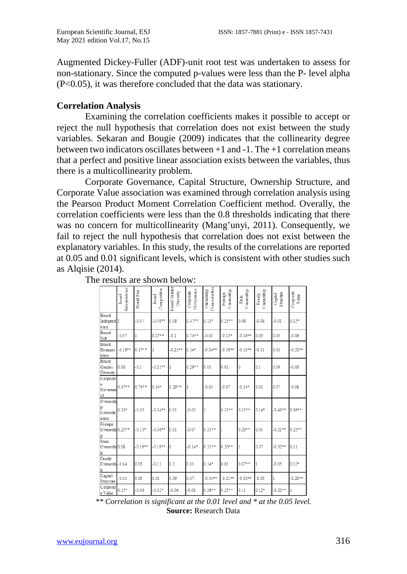Augmented Dickey-Fuller (ADF)-unit root test was undertaken to assess for non-stationary. Since the computed p-values were less than the P- level alpha (P<0.05), it was therefore concluded that the data was stationary.

### **Correlation Analysis**

Examining the correlation coefficients makes it possible to accept or reject the null hypothesis that correlation does not exist between the study variables. Sekaran and Bougie (2009) indicates that the collinearity degree between two indicators oscillates between +1 and -1. The +1 correlation means that a perfect and positive linear association exists between the variables, thus there is a multicollinearity problem.

Corporate Governance, Capital Structure, Ownership Structure, and Corporate Value association was examined through correlation analysis using the Pearson Product Moment Correlation Coefficient method. Overally, the correlation coefficients were less than the 0.8 thresholds indicating that there was no concern for multicollinearity (Mang'unyi, 2011). Consequently, we fail to reject the null hypothesis that correlation does not exist between the explanatory variables. In this study, the results of the correlations are reported at 0.05 and 0.01 significant levels, which is consistent with other studies such as Alqisie (2014).

|                                        | <b>Independence</b><br>Board | Board Size | Composition<br>Board | Board Gende<br>Diversity | Governance<br>Corporate | Concentration<br>Ow nership | Ownership<br>Foreign | Quantity<br>State | Ownership<br>Family | Structure<br>Capital | Corporate<br>Value |
|----------------------------------------|------------------------------|------------|----------------------|--------------------------|-------------------------|-----------------------------|----------------------|-------------------|---------------------|----------------------|--------------------|
| Board<br>Independ <sub>1</sub><br>ence |                              | $-0.07$    | $-0.38**$            | 0.08                     | $0.47**$                | $0.13*$                     | $0.25**$             | 0.08              | $-0.04$             | $-0.01$              | $0.15*$            |
| Board<br>Size                          | $-0.07$                      | 1          | $0.17**$             | $-0.1$                   | $0.74**$                | $-0.03$                     | $-0.13*$             | $-0.16**$         | 0.05                | 0.05                 | $-0.06$            |
| Board<br>Remuner<br>ation              | $-0.38**$                    | $0.17**$   |                      | $-0.21**$                | $0.14*$                 | $-0.34**$                   | $-0.36**$            | $-0.18**$         | $-0.11$             | 0.01                 | $-0.32**$          |
| Board<br>Gender<br>Diversity           | 0.08                         | $-0.1$     | $-0.21**$            |                          | $0.29**$                | 0.01                        | 0.01                 | 0                 | 0.1                 | 0.09                 | $-0.06$            |
| Corporat<br>Governan<br>ce             | $0.47**$                     | $0.74**$   | $0.14*$              | $0.29**$                 |                         | $-0.05$                     | $-0.07$              | $-0.14*$          | 0.01                | 0.07                 | $-0.08$            |
| Ownershi<br>p<br>Concentr<br>ation     | $0.13*$                      | $-0.03$    | $-0.34**$            | 0.01                     | $-0.05$                 |                             | $0.31**$             | $0.31**$          | $0.14*$             | $-0.43**$            | $0.36**$           |
| Foreign<br>Ownershi 0.25**             |                              | $-0.13*$   | $-0.36**$            | 0.01                     | $-0.07$                 | $0.31**$                    | 1                    | $0.20**$          | 0.01                | $-0.21**$            | $0.25**$           |
| State<br>Ownershi 0.08                 |                              | $-0.16**$  | $-0.18**$            | 0                        | $-0.14*$                | $0.31**$                    | $0.20**$             |                   | 0.07                | $-0.32**$            | 0.11               |
| Family<br>Ownershi-0.04                |                              | 0.05       | $-0.11$              | 0.1                      | 0.01                    | $0.14*$                     | 0.01                 | $0.07**$          |                     | $-0.05$              | $0.12*$            |
| Capital<br>Structure                   | $-0.01$                      | 0.05       | 0.01                 | 0.09                     | 0.07                    | $-0.43**$                   | $-0.21**$            | $-0.32**$         | $-0.05$             | 1                    | $-0.20**$          |
| Corporat<br>e Vahie                    | $0.15*$                      | $-0.06$    | $-0.32*$             | $-0.06$                  | $-0.08$                 | $0.36**$                    | $0.25**$             | 0.11              | $0.12*$             | $-0.20**$            |                    |

The results are shown below:

*\*\* Correlation is significant at the 0.01 level and \* at the 0.05 level.* **Source:** Research Data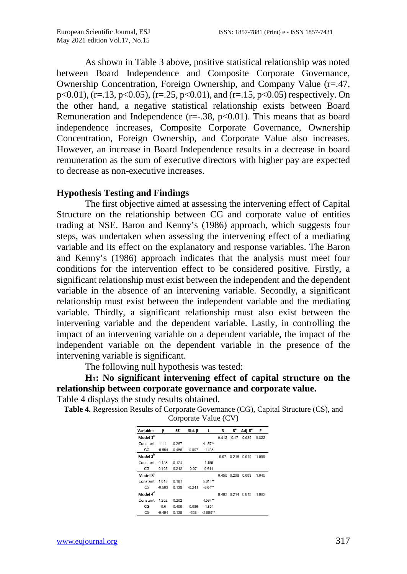As shown in Table 3 above, positive statistical relationship was noted between Board Independence and Composite Corporate Governance, Ownership Concentration, Foreign Ownership, and Company Value (r=.47, p<0.01),  $(r=.13, p<0.05)$ ,  $(r=.25, p<0.01)$ , and  $(r=.15, p<0.05)$  respectively. On the other hand, a negative statistical relationship exists between Board Remuneration and Independence  $(r=.38, p<0.01)$ . This means that as board independence increases, Composite Corporate Governance, Ownership Concentration, Foreign Ownership, and Corporate Value also increases. However, an increase in Board Independence results in a decrease in board remuneration as the sum of executive directors with higher pay are expected to decrease as non-executive increases.

#### **Hypothesis Testing and Findings**

The first objective aimed at assessing the intervening effect of Capital Structure on the relationship between CG and corporate value of entities trading at NSE. Baron and Kenny's (1986) approach, which suggests four steps, was undertaken when assessing the intervening effect of a mediating variable and its effect on the explanatory and response variables. The Baron and Kenny's (1986) approach indicates that the analysis must meet four conditions for the intervention effect to be considered positive. Firstly, a significant relationship must exist between the independent and the dependent variable in the absence of an intervening variable. Secondly, a significant relationship must exist between the independent variable and the mediating variable. Thirdly, a significant relationship must also exist between the intervening variable and the dependent variable. Lastly, in controlling the impact of an intervening variable on a dependent variable, the impact of the independent variable on the dependent variable in the presence of the intervening variable is significant.

The following null hypothesis was tested:

**H1: No significant intervening effect of capital structure on the relationship between corporate governance and corporate value.**

Table 4 displays the study results obtained.

**Table 4.** Regression Results of Corporate Governance (CG), Capital Structure (CS), and

Corporate Value (CV)

| <b>Variables</b>     | β        | <b>SE</b> | Std. $\beta$ | t          | R     | $R^2$ | Adj- $R^2$ | F     |
|----------------------|----------|-----------|--------------|------------|-------|-------|------------|-------|
| Model 1ª             |          |           |              |            | 0412  | 0.17  | 0039       | 0822  |
| Constant             | 1 1 1    | 0.267     |              | $4.157**$  |       |       |            |       |
| CG                   | $-0.654$ | 0.456     | $-0.097$     | $-1.436$   |       |       |            |       |
| Model 2 <sup>b</sup> |          |           |              |            | 0.07  | 0.216 | 0.019      | 1.099 |
| Constant             | 0.185    | 0.124     |              | 1.488      |       |       |            |       |
| ĊĠ                   | 0.108    | 0.212     | 0.07         | 0.511      |       |       |            |       |
| Model 3 <sup>c</sup> |          |           |              |            | 0.456 | 0.208 | 0.009      | 1.045 |
| Constant             | 1.018    | 0.181     |              | $5.614**$  |       |       |            |       |
| CS                   | $-0.503$ | 0.138     | $-0.241$     | $-3.64***$ |       |       |            |       |
| Model 4 <sup>d</sup> |          |           |              |            | 0.463 | 0.214 | 0.013      | 1.062 |
| Constant             | 1 2 0 2  | 0.262     |              | $4.594**$  |       |       |            |       |
| CG                   | $-0.6$   | 0.455     | $-0.089$     | $-1.351$   |       |       |            |       |
| CS                   | $-0.494$ | 0.138     | $-238$       | $-3.599**$ |       |       |            |       |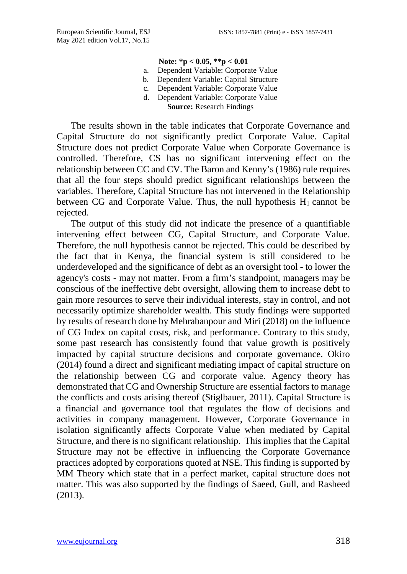#### **Note: \*p < 0.05, \*\*p < 0.01**

- a. Dependent Variable: Corporate Value
- b. Dependent Variable: Capital Structure
- c. Dependent Variable: Corporate Value
- d. Dependent Variable: Corporate Value **Source:** Research Findings

The results shown in the table indicates that Corporate Governance and Capital Structure do not significantly predict Corporate Value. Capital Structure does not predict Corporate Value when Corporate Governance is controlled. Therefore, CS has no significant intervening effect on the relationship between CC and CV. The Baron and Kenny's (1986) rule requires that all the four steps should predict significant relationships between the variables. Therefore, Capital Structure has not intervened in the Relationship between CG and Corporate Value. Thus, the null hypothesis  $H_1$  cannot be rejected.

The output of this study did not indicate the presence of a quantifiable intervening effect between CG, Capital Structure, and Corporate Value. Therefore, the null hypothesis cannot be rejected. This could be described by the fact that in Kenya, the financial system is still considered to be underdeveloped and the significance of debt as an oversight tool - to lower the agency's costs - may not matter. From a firm's standpoint, managers may be conscious of the ineffective debt oversight, allowing them to increase debt to gain more resources to serve their individual interests, stay in control, and not necessarily optimize shareholder wealth. This study findings were supported by results of research done by Mehrabanpour and Miri (2018) on the influence of CG Index on capital costs, risk, and performance. Contrary to this study, some past research has consistently found that value growth is positively impacted by capital structure decisions and corporate governance. Okiro (2014) found a direct and significant mediating impact of capital structure on the relationship between CG and corporate value. Agency theory has demonstrated that CG and Ownership Structure are essential factors to manage the conflicts and costs arising thereof (Stiglbauer, 2011). Capital Structure is a financial and governance tool that regulates the flow of decisions and activities in company management. However, Corporate Governance in isolation significantly affects Corporate Value when mediated by Capital Structure, and there is no significant relationship. This implies that the Capital Structure may not be effective in influencing the Corporate Governance practices adopted by corporations quoted at NSE. This finding is supported by MM Theory which state that in a perfect market, capital structure does not matter. This was also supported by the findings of Saeed, Gull, and Rasheed (2013).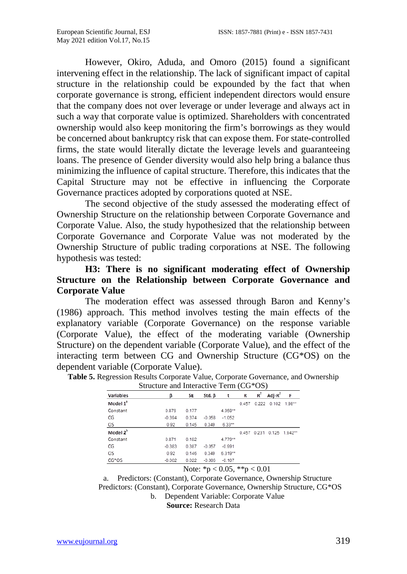However, Okiro, Aduda, and Omoro (2015) found a significant intervening effect in the relationship. The lack of significant impact of capital structure in the relationship could be expounded by the fact that when corporate governance is strong, efficient independent directors would ensure that the company does not over leverage or under leverage and always act in such a way that corporate value is optimized. Shareholders with concentrated ownership would also keep monitoring the firm's borrowings as they would be concerned about bankruptcy risk that can expose them. For state-controlled firms, the state would literally dictate the leverage levels and guaranteeing loans. The presence of Gender diversity would also help bring a balance thus minimizing the influence of capital structure. Therefore, this indicates that the Capital Structure may not be effective in influencing the Corporate Governance practices adopted by corporations quoted at NSE.

The second objective of the study assessed the moderating effect of Ownership Structure on the relationship between Corporate Governance and Corporate Value. Also, the study hypothesized that the relationship between Corporate Governance and Corporate Value was not moderated by the Ownership Structure of public trading corporations at NSE. The following hypothesis was tested:

### **H3: There is no significant moderating effect of Ownership Structure on the Relationship between Corporate Governance and Corporate Value**

The moderation effect was assessed through Baron and Kenny's (1986) approach. This method involves testing the main effects of the explanatory variable (Corporate Governance) on the response variable (Corporate Value), the effect of the moderating variable (Ownership Structure) on the dependent variable (Corporate Value), and the effect of the interacting term between CG and Ownership Structure (CG\*OS) on the dependent variable (Corporate Value).

|                      | $\beta$ and $\alpha$ interactive Term (composition) |           |          |          |       |       |                     |        |
|----------------------|-----------------------------------------------------|-----------|----------|----------|-------|-------|---------------------|--------|
| Variables            | ß                                                   | <b>SE</b> | Std. β   | t        | R     | $R^2$ | Adj- $R^2$          | F      |
| Model 1 <sup>ª</sup> |                                                     |           |          |          | 0.457 |       | $0.222$ $0.102$     | 1.98** |
| Constant             | 0.876                                               | 0.177     |          | 4.958**  |       |       |                     |        |
| ĊĜ                   | $-0.394$                                            | 0.374     | $-0.058$ | $-1.052$ |       |       |                     |        |
| OS                   | 0.92                                                | 0.145     | 0.349    | $6.33**$ |       |       |                     |        |
| Model 2 <sup>b</sup> |                                                     |           |          |          | 0.457 |       | 0.231 0.125 1.942** |        |
| Constant             | 0.871                                               | 0.182     |          | 4.779**  |       |       |                     |        |
| ĊĠ                   | $-0.383$                                            | 0.387     | $-0.057$ | $-0.991$ |       |       |                     |        |
| OS.                  | 0.92                                                | 0.146     | 0.349    | 6.319**  |       |       |                     |        |
| CG*OS                | $-0.002$                                            | 0.022     | $-0.006$ | $-0.107$ |       |       |                     |        |

**Table 5.** Regression Results Corporate Value, Corporate Governance, and Ownership Structure and Interactive Term (CG\*OS)

Note: \*p < 0.05, \*\*p < 0.01

a. Predictors: (Constant), Corporate Governance, Ownership Structure Predictors: (Constant), Corporate Governance, Ownership Structure, CG\*OS b. Dependent Variable: Corporate Value

**Source:** Research Data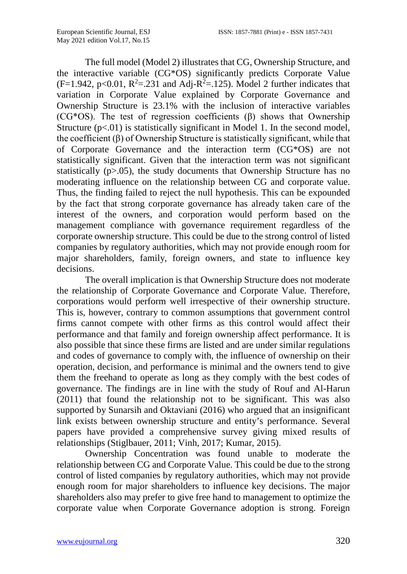The full model (Model 2) illustrates that CG, Ownership Structure, and the interactive variable (CG\*OS) significantly predicts Corporate Value  $(F=1.942, p<0.01, R<sup>2</sup>=.231$  and Adj-R<sup>2</sup>=.125). Model 2 further indicates that variation in Corporate Value explained by Corporate Governance and Ownership Structure is 23.1% with the inclusion of interactive variables (CG\*OS). The test of regression coefficients  $(\beta)$  shows that Ownership Structure  $(p<.01)$  is statistically significant in Model 1. In the second model, the coefficient  $(\beta)$  of Ownership Structure is statistically significant, while that of Corporate Governance and the interaction term (CG\*OS) are not statistically significant. Given that the interaction term was not significant statistically (p>.05), the study documents that Ownership Structure has no moderating influence on the relationship between CG and corporate value. Thus, the finding failed to reject the null hypothesis. This can be expounded by the fact that strong corporate governance has already taken care of the interest of the owners, and corporation would perform based on the management compliance with governance requirement regardless of the corporate ownership structure. This could be due to the strong control of listed companies by regulatory authorities, which may not provide enough room for major shareholders, family, foreign owners, and state to influence key decisions.

The overall implication is that Ownership Structure does not moderate the relationship of Corporate Governance and Corporate Value. Therefore, corporations would perform well irrespective of their ownership structure. This is, however, contrary to common assumptions that government control firms cannot compete with other firms as this control would affect their performance and that family and foreign ownership affect performance. It is also possible that since these firms are listed and are under similar regulations and codes of governance to comply with, the influence of ownership on their operation, decision, and performance is minimal and the owners tend to give them the freehand to operate as long as they comply with the best codes of governance. The findings are in line with the study of Rouf and Al-Harun (2011) that found the relationship not to be significant. This was also supported by Sunarsih and Oktaviani (2016) who argued that an insignificant link exists between ownership structure and entity's performance. Several papers have provided a comprehensive survey giving mixed results of relationships (Stiglbauer, 2011; Vinh, 2017; Kumar, 2015).

Ownership Concentration was found unable to moderate the relationship between CG and Corporate Value. This could be due to the strong control of listed companies by regulatory authorities, which may not provide enough room for major shareholders to influence key decisions. The major shareholders also may prefer to give free hand to management to optimize the corporate value when Corporate Governance adoption is strong. Foreign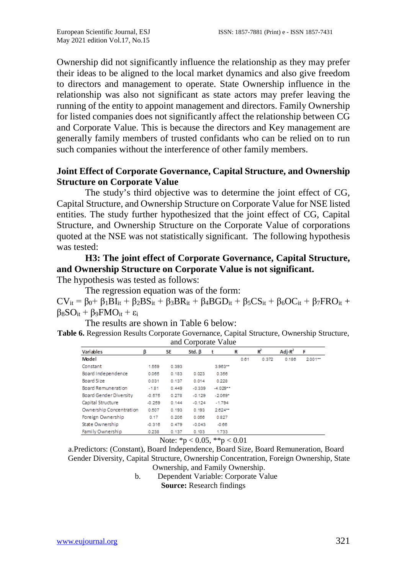Ownership did not significantly influence the relationship as they may prefer their ideas to be aligned to the local market dynamics and also give freedom to directors and management to operate. State Ownership influence in the relationship was also not significant as state actors may prefer leaving the running of the entity to appoint management and directors. Family Ownership for listed companies does not significantly affect the relationship between CG and Corporate Value. This is because the directors and Key management are generally family members of trusted confidants who can be relied on to run such companies without the interference of other family members.

### **Joint Effect of Corporate Governance, Capital Structure, and Ownership Structure on Corporate Value**

The study's third objective was to determine the joint effect of CG, Capital Structure, and Ownership Structure on Corporate Value for NSE listed entities. The study further hypothesized that the joint effect of CG, Capital Structure, and Ownership Structure on the Corporate Value of corporations quoted at the NSE was not statistically significant. The following hypothesis was tested:

## **H3: The joint effect of Corporate Governance, Capital Structure, and Ownership Structure on Corporate Value is not significant.**

The hypothesis was tested as follows:

The regression equation was of the form:  $CV_{it} = \beta_0 + \beta_1 BI_{it} + \beta_2 BS_{it} + \beta_3 BR_{it} + \beta_4 BGD_{it} + \beta_5 CS_{it} + \beta_6 OC_{it} + \beta_7 FRO_{it} +$  $β_8SO_{it} + β_9FMO_{it} + ε_i$ 

The results are shown in Table 6 below:

**Table 6.** Regression Results Corporate Governance, Capital Structure, Ownership Structure, and Corporate Value

| Variables               | β        | 5E    | Std. $\beta$ | t          | R    | $R^2$ | Adj- $R^2$ | F         |
|-------------------------|----------|-------|--------------|------------|------|-------|------------|-----------|
| Model                   |          |       |              |            | 0.61 | 0.372 | 0.186      | $2.001 -$ |
| Constant                | 1.559    | 0.393 |              | $3.963**$  |      |       |            |           |
| Board Independence      | 0.065    | 0.183 | 0.023        | 0.356      |      |       |            |           |
| Board Size              | 0.031    | 0.137 | 0.014        | 0.228      |      |       |            |           |
| Board Remuneration      | $-1.81$  | 0.449 | $-0.339$     | $-4.029**$ |      |       |            |           |
| Board Gender Diversity  | $-0.575$ | 0.278 | $-0.129$     | $-2.069*$  |      |       |            |           |
| Capital Structure       | $-0.259$ | 0.144 | $-0.124$     | $-1.794$   |      |       |            |           |
| Ownership Concentration | 0.507    | 0.193 | 0.193        | 2.624**    |      |       |            |           |
| Foreign Ownership       | 0.17     | 0.206 | 0.056        | 0.827      |      |       |            |           |
| State Ownership         | $-0.316$ | 0.479 | $-0.043$     | $-0.66$    |      |       |            |           |
| Family Ownership        | 0.238    | 0.137 | 0.103        | 1.733      |      |       |            |           |

Note: \*p < 0.05, \*\*p < 0.01

a.Predictors: (Constant), Board Independence, Board Size, Board Remuneration, Board Gender Diversity, Capital Structure, Ownership Concentration, Foreign Ownership, State Ownership, and Family Ownership.

b. Dependent Variable: Corporate Value

**Source:** Research findings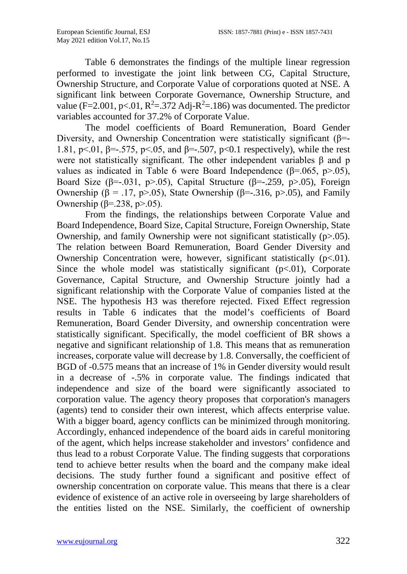Table 6 demonstrates the findings of the multiple linear regression performed to investigate the joint link between CG, Capital Structure, Ownership Structure, and Corporate Value of corporations quoted at NSE. A significant link between Corporate Governance, Ownership Structure, and value (F=2.001, p<.01, R<sup>2</sup>=.372 Adj-R<sup>2</sup>=.186) was documented. The predictor variables accounted for 37.2% of Corporate Value.

The model coefficients of Board Remuneration, Board Gender Diversity, and Ownership Concentration were statistically significant ( $\beta$ =-1.81, p<.01, β=-.575, p<.05, and β=-.507, p<0.1 respectively), while the rest were not statistically significant. The other independent variables β and p values as indicated in Table 6 were Board Independence ( $\beta$ =.065, p>.05), Board Size ( $\beta$ =-.031, p>.05), Capital Structure ( $\beta$ =-.259, p>.05), Foreign Ownership ( $\beta$  = .17, p>.05), State Ownership ( $\beta$ =-.316, p>.05), and Family Ownership (β=.238, p>.05).

From the findings, the relationships between Corporate Value and Board Independence, Board Size, Capital Structure, Foreign Ownership, State Ownership, and family Ownership were not significant statistically  $(p>0.05)$ . The relation between Board Remuneration, Board Gender Diversity and Ownership Concentration were, however, significant statistically  $(p<0.01)$ . Since the whole model was statistically significant  $(p<0.01)$ , Corporate Governance, Capital Structure, and Ownership Structure jointly had a significant relationship with the Corporate Value of companies listed at the NSE. The hypothesis H3 was therefore rejected. Fixed Effect regression results in Table 6 indicates that the model's coefficients of Board Remuneration, Board Gender Diversity, and ownership concentration were statistically significant. Specifically, the model coefficient of BR shows a negative and significant relationship of 1.8. This means that as remuneration increases, corporate value will decrease by 1.8. Conversally, the coefficient of BGD of -0.575 means that an increase of 1% in Gender diversity would result in a decrease of -.5% in corporate value. The findings indicated that independence and size of the board were significantly associated to corporation value. The agency theory proposes that corporation's managers (agents) tend to consider their own interest, which affects enterprise value. With a bigger board, agency conflicts can be minimized through monitoring. Accordingly, enhanced independence of the board aids in careful monitoring of the agent, which helps increase stakeholder and investors' confidence and thus lead to a robust Corporate Value. The finding suggests that corporations tend to achieve better results when the board and the company make ideal decisions. The study further found a significant and positive effect of ownership concentration on corporate value. This means that there is a clear evidence of existence of an active role in overseeing by large shareholders of the entities listed on the NSE. Similarly, the coefficient of ownership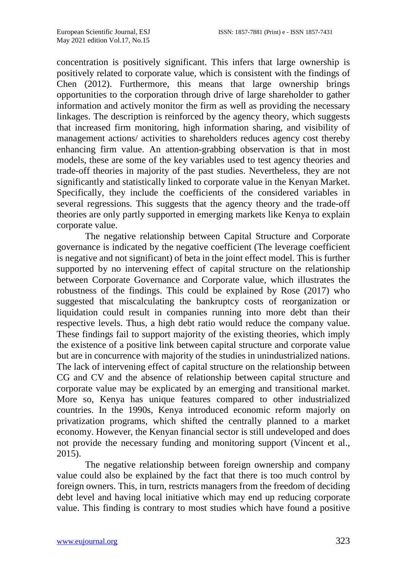concentration is positively significant. This infers that large ownership is positively related to corporate value, which is consistent with the findings of Chen (2012). Furthermore, this means that large ownership brings opportunities to the corporation through drive of large shareholder to gather information and actively monitor the firm as well as providing the necessary linkages. The description is reinforced by the agency theory, which suggests that increased firm monitoring, high information sharing, and visibility of management actions/ activities to shareholders reduces agency cost thereby enhancing firm value. An attention-grabbing observation is that in most models, these are some of the key variables used to test agency theories and trade-off theories in majority of the past studies. Nevertheless, they are not significantly and statistically linked to corporate value in the Kenyan Market. Specifically, they include the coefficients of the considered variables in several regressions. This suggests that the agency theory and the trade-off theories are only partly supported in emerging markets like Kenya to explain corporate value.

The negative relationship between Capital Structure and Corporate governance is indicated by the negative coefficient (The leverage coefficient is negative and not significant) of beta in the joint effect model. This is further supported by no intervening effect of capital structure on the relationship between Corporate Governance and Corporate value, which illustrates the robustness of the findings. This could be explained by Rose (2017) who suggested that miscalculating the bankruptcy costs of reorganization or liquidation could result in companies running into more debt than their respective levels. Thus, a high debt ratio would reduce the company value. These findings fail to support majority of the existing theories, which imply the existence of a positive link between capital structure and corporate value but are in concurrence with majority of the studies in unindustrialized nations. The lack of intervening effect of capital structure on the relationship between CG and CV and the absence of relationship between capital structure and corporate value may be explicated by an emerging and transitional market. More so, Kenya has unique features compared to other industrialized countries. In the 1990s, Kenya introduced economic reform majorly on privatization programs, which shifted the centrally planned to a market economy. However, the Kenyan financial sector is still undeveloped and does not provide the necessary funding and monitoring support (Vincent et al., 2015).

The negative relationship between foreign ownership and company value could also be explained by the fact that there is too much control by foreign owners. This, in turn, restricts managers from the freedom of deciding debt level and having local initiative which may end up reducing corporate value. This finding is contrary to most studies which have found a positive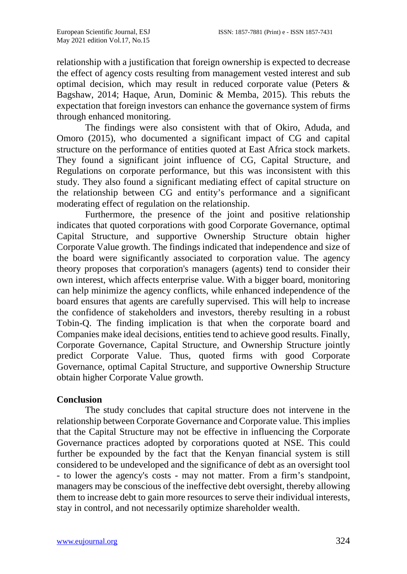relationship with a justification that foreign ownership is expected to decrease the effect of agency costs resulting from management vested interest and sub optimal decision, which may result in reduced corporate value (Peters & Bagshaw, 2014; Haque, Arun, Dominic & Memba, 2015). This rebuts the expectation that foreign investors can enhance the governance system of firms through enhanced monitoring.

The findings were also consistent with that of Okiro, Aduda, and Omoro (2015), who documented a significant impact of CG and capital structure on the performance of entities quoted at East Africa stock markets. They found a significant joint influence of CG, Capital Structure, and Regulations on corporate performance, but this was inconsistent with this study. They also found a significant mediating effect of capital structure on the relationship between CG and entity's performance and a significant moderating effect of regulation on the relationship.

Furthermore, the presence of the joint and positive relationship indicates that quoted corporations with good Corporate Governance, optimal Capital Structure, and supportive Ownership Structure obtain higher Corporate Value growth. The findings indicated that independence and size of the board were significantly associated to corporation value. The agency theory proposes that corporation's managers (agents) tend to consider their own interest, which affects enterprise value. With a bigger board, monitoring can help minimize the agency conflicts, while enhanced independence of the board ensures that agents are carefully supervised. This will help to increase the confidence of stakeholders and investors, thereby resulting in a robust Tobin-Q. The finding implication is that when the corporate board and Companies make ideal decisions, entities tend to achieve good results. Finally, Corporate Governance, Capital Structure, and Ownership Structure jointly predict Corporate Value. Thus, quoted firms with good Corporate Governance, optimal Capital Structure, and supportive Ownership Structure obtain higher Corporate Value growth.

### **Conclusion**

The study concludes that capital structure does not intervene in the relationship between Corporate Governance and Corporate value. This implies that the Capital Structure may not be effective in influencing the Corporate Governance practices adopted by corporations quoted at NSE. This could further be expounded by the fact that the Kenyan financial system is still considered to be undeveloped and the significance of debt as an oversight tool - to lower the agency's costs - may not matter. From a firm's standpoint, managers may be conscious of the ineffective debt oversight, thereby allowing them to increase debt to gain more resources to serve their individual interests, stay in control, and not necessarily optimize shareholder wealth.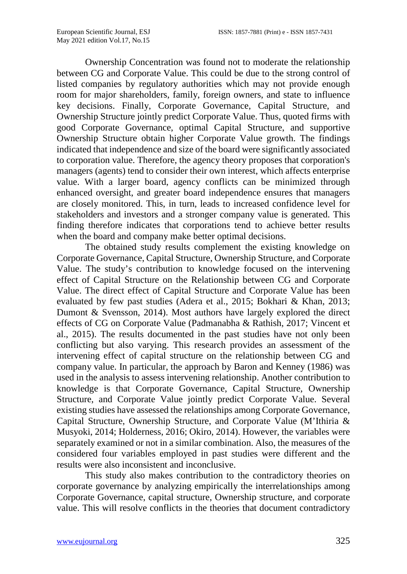Ownership Concentration was found not to moderate the relationship between CG and Corporate Value. This could be due to the strong control of listed companies by regulatory authorities which may not provide enough room for major shareholders, family, foreign owners, and state to influence key decisions. Finally, Corporate Governance, Capital Structure, and Ownership Structure jointly predict Corporate Value. Thus, quoted firms with good Corporate Governance, optimal Capital Structure, and supportive Ownership Structure obtain higher Corporate Value growth. The findings indicated that independence and size of the board were significantly associated to corporation value. Therefore, the agency theory proposes that corporation's managers (agents) tend to consider their own interest, which affects enterprise value. With a larger board, agency conflicts can be minimized through enhanced oversight, and greater board independence ensures that managers are closely monitored. This, in turn, leads to increased confidence level for stakeholders and investors and a stronger company value is generated. This finding therefore indicates that corporations tend to achieve better results when the board and company make better optimal decisions.

The obtained study results complement the existing knowledge on Corporate Governance, Capital Structure, Ownership Structure, and Corporate Value. The study's contribution to knowledge focused on the intervening effect of Capital Structure on the Relationship between CG and Corporate Value. The direct effect of Capital Structure and Corporate Value has been evaluated by few past studies (Adera et al., 2015; Bokhari & Khan, 2013; Dumont & Svensson, 2014). Most authors have largely explored the direct effects of CG on Corporate Value (Padmanabha & Rathish, 2017; Vincent et al., 2015). The results documented in the past studies have not only been conflicting but also varying. This research provides an assessment of the intervening effect of capital structure on the relationship between CG and company value. In particular, the approach by Baron and Kenney (1986) was used in the analysis to assess intervening relationship. Another contribution to knowledge is that Corporate Governance, Capital Structure, Ownership Structure, and Corporate Value jointly predict Corporate Value. Several existing studies have assessed the relationships among Corporate Governance, Capital Structure, Ownership Structure, and Corporate Value (M'Ithiria & Musyoki, 2014; Holderness, 2016; Okiro, 2014). However, the variables were separately examined or not in a similar combination. Also, the measures of the considered four variables employed in past studies were different and the results were also inconsistent and inconclusive.

This study also makes contribution to the contradictory theories on corporate governance by analyzing empirically the interrelationships among Corporate Governance, capital structure, Ownership structure, and corporate value. This will resolve conflicts in the theories that document contradictory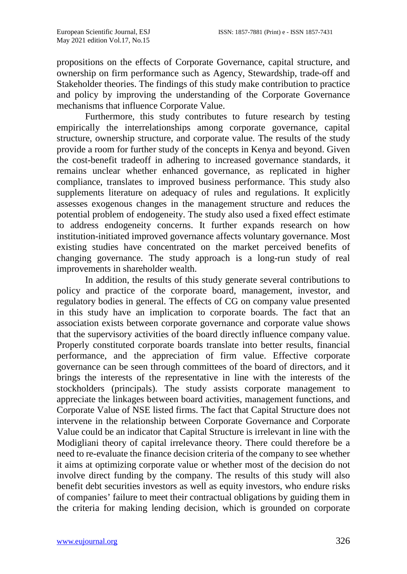propositions on the effects of Corporate Governance, capital structure, and ownership on firm performance such as Agency, Stewardship, trade-off and Stakeholder theories. The findings of this study make contribution to practice and policy by improving the understanding of the Corporate Governance mechanisms that influence Corporate Value.

Furthermore, this study contributes to future research by testing empirically the interrelationships among corporate governance, capital structure, ownership structure, and corporate value. The results of the study provide a room for further study of the concepts in Kenya and beyond. Given the cost-benefit tradeoff in adhering to increased governance standards, it remains unclear whether enhanced governance, as replicated in higher compliance, translates to improved business performance. This study also supplements literature on adequacy of rules and regulations. It explicitly assesses exogenous changes in the management structure and reduces the potential problem of endogeneity. The study also used a fixed effect estimate to address endogeneity concerns. It further expands research on how institution-initiated improved governance affects voluntary governance. Most existing studies have concentrated on the market perceived benefits of changing governance. The study approach is a long-run study of real improvements in shareholder wealth.

In addition, the results of this study generate several contributions to policy and practice of the corporate board, management, investor, and regulatory bodies in general. The effects of CG on company value presented in this study have an implication to corporate boards. The fact that an association exists between corporate governance and corporate value shows that the supervisory activities of the board directly influence company value. Properly constituted corporate boards translate into better results, financial performance, and the appreciation of firm value. Effective corporate governance can be seen through committees of the board of directors, and it brings the interests of the representative in line with the interests of the stockholders (principals). The study assists corporate management to appreciate the linkages between board activities, management functions, and Corporate Value of NSE listed firms. The fact that Capital Structure does not intervene in the relationship between Corporate Governance and Corporate Value could be an indicator that Capital Structure is irrelevant in line with the Modigliani theory of capital irrelevance theory. There could therefore be a need to re-evaluate the finance decision criteria of the company to see whether it aims at optimizing corporate value or whether most of the decision do not involve direct funding by the company. The results of this study will also benefit debt securities investors as well as equity investors, who endure risks of companies' failure to meet their contractual obligations by guiding them in the criteria for making lending decision, which is grounded on corporate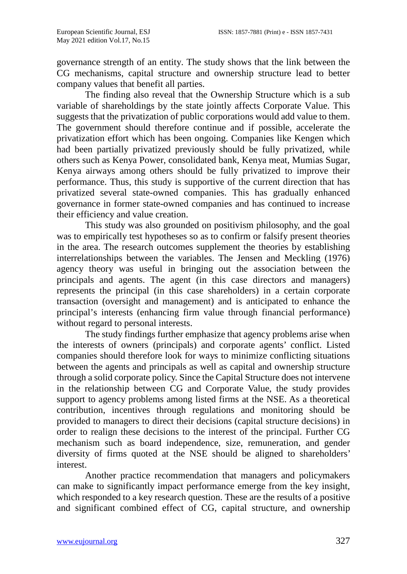governance strength of an entity. The study shows that the link between the CG mechanisms, capital structure and ownership structure lead to better company values that benefit all parties.

The finding also reveal that the Ownership Structure which is a sub variable of shareholdings by the state jointly affects Corporate Value. This suggests that the privatization of public corporations would add value to them. The government should therefore continue and if possible, accelerate the privatization effort which has been ongoing. Companies like Kengen which had been partially privatized previously should be fully privatized, while others such as Kenya Power, consolidated bank, Kenya meat, Mumias Sugar, Kenya airways among others should be fully privatized to improve their performance. Thus, this study is supportive of the current direction that has privatized several state-owned companies. This has gradually enhanced governance in former state-owned companies and has continued to increase their efficiency and value creation.

This study was also grounded on positivism philosophy, and the goal was to empirically test hypotheses so as to confirm or falsify present theories in the area. The research outcomes supplement the theories by establishing interrelationships between the variables. The Jensen and Meckling (1976) agency theory was useful in bringing out the association between the principals and agents. The agent (in this case directors and managers) represents the principal (in this case shareholders) in a certain corporate transaction (oversight and management) and is anticipated to enhance the principal's interests (enhancing firm value through financial performance) without regard to personal interests.

The study findings further emphasize that agency problems arise when the interests of owners (principals) and corporate agents' conflict. Listed companies should therefore look for ways to minimize conflicting situations between the agents and principals as well as capital and ownership structure through a solid corporate policy. Since the Capital Structure does not intervene in the relationship between CG and Corporate Value, the study provides support to agency problems among listed firms at the NSE. As a theoretical contribution, incentives through regulations and monitoring should be provided to managers to direct their decisions (capital structure decisions) in order to realign these decisions to the interest of the principal. Further CG mechanism such as board independence, size, remuneration, and gender diversity of firms quoted at the NSE should be aligned to shareholders' interest.

Another practice recommendation that managers and policymakers can make to significantly impact performance emerge from the key insight, which responded to a key research question. These are the results of a positive and significant combined effect of CG, capital structure, and ownership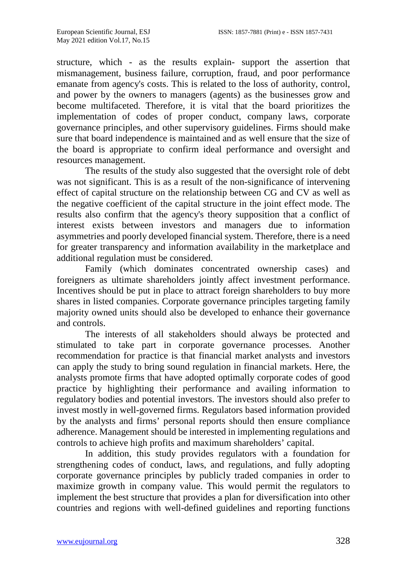structure, which - as the results explain- support the assertion that mismanagement, business failure, corruption, fraud, and poor performance emanate from agency's costs. This is related to the loss of authority, control, and power by the owners to managers (agents) as the businesses grow and become multifaceted. Therefore, it is vital that the board prioritizes the implementation of codes of proper conduct, company laws, corporate governance principles, and other supervisory guidelines. Firms should make sure that board independence is maintained and as well ensure that the size of the board is appropriate to confirm ideal performance and oversight and resources management.

The results of the study also suggested that the oversight role of debt was not significant. This is as a result of the non-significance of intervening effect of capital structure on the relationship between CG and CV as well as the negative coefficient of the capital structure in the joint effect mode. The results also confirm that the agency's theory supposition that a conflict of interest exists between investors and managers due to information asymmetries and poorly developed financial system. Therefore, there is a need for greater transparency and information availability in the marketplace and additional regulation must be considered.

Family (which dominates concentrated ownership cases) and foreigners as ultimate shareholders jointly affect investment performance. Incentives should be put in place to attract foreign shareholders to buy more shares in listed companies. Corporate governance principles targeting family majority owned units should also be developed to enhance their governance and controls.

The interests of all stakeholders should always be protected and stimulated to take part in corporate governance processes. Another recommendation for practice is that financial market analysts and investors can apply the study to bring sound regulation in financial markets. Here, the analysts promote firms that have adopted optimally corporate codes of good practice by highlighting their performance and availing information to regulatory bodies and potential investors. The investors should also prefer to invest mostly in well-governed firms. Regulators based information provided by the analysts and firms' personal reports should then ensure compliance adherence. Management should be interested in implementing regulations and controls to achieve high profits and maximum shareholders' capital.

In addition, this study provides regulators with a foundation for strengthening codes of conduct, laws, and regulations, and fully adopting corporate governance principles by publicly traded companies in order to maximize growth in company value. This would permit the regulators to implement the best structure that provides a plan for diversification into other countries and regions with well-defined guidelines and reporting functions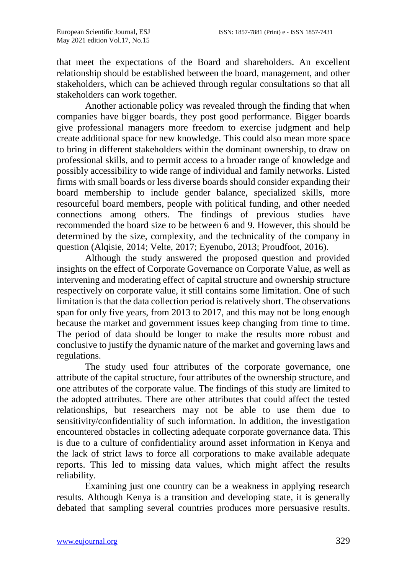that meet the expectations of the Board and shareholders. An excellent relationship should be established between the board, management, and other stakeholders, which can be achieved through regular consultations so that all stakeholders can work together.

Another actionable policy was revealed through the finding that when companies have bigger boards, they post good performance. Bigger boards give professional managers more freedom to exercise judgment and help create additional space for new knowledge. This could also mean more space to bring in different stakeholders within the dominant ownership, to draw on professional skills, and to permit access to a broader range of knowledge and possibly accessibility to wide range of individual and family networks. Listed firms with small boards or less diverse boards should consider expanding their board membership to include gender balance, specialized skills, more resourceful board members, people with political funding, and other needed connections among others. The findings of previous studies have recommended the board size to be between 6 and 9. However, this should be determined by the size, complexity, and the technicality of the company in question (Alqisie, 2014; Velte, 2017; Eyenubo, 2013; Proudfoot, 2016).

Although the study answered the proposed question and provided insights on the effect of Corporate Governance on Corporate Value, as well as intervening and moderating effect of capital structure and ownership structure respectively on corporate value, it still contains some limitation. One of such limitation is that the data collection period is relatively short. The observations span for only five years, from 2013 to 2017, and this may not be long enough because the market and government issues keep changing from time to time. The period of data should be longer to make the results more robust and conclusive to justify the dynamic nature of the market and governing laws and regulations.

The study used four attributes of the corporate governance, one attribute of the capital structure, four attributes of the ownership structure, and one attributes of the corporate value. The findings of this study are limited to the adopted attributes. There are other attributes that could affect the tested relationships, but researchers may not be able to use them due to sensitivity/confidentiality of such information. In addition, the investigation encountered obstacles in collecting adequate corporate governance data. This is due to a culture of confidentiality around asset information in Kenya and the lack of strict laws to force all corporations to make available adequate reports. This led to missing data values, which might affect the results reliability.

Examining just one country can be a weakness in applying research results. Although Kenya is a transition and developing state, it is generally debated that sampling several countries produces more persuasive results.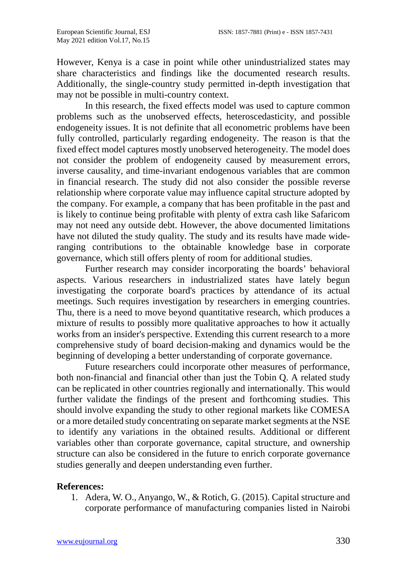However, Kenya is a case in point while other unindustrialized states may share characteristics and findings like the documented research results. Additionally, the single-country study permitted in-depth investigation that may not be possible in multi-country context.

In this research, the fixed effects model was used to capture common problems such as the unobserved effects, heteroscedasticity, and possible endogeneity issues. It is not definite that all econometric problems have been fully controlled, particularly regarding endogeneity. The reason is that the fixed effect model captures mostly unobserved heterogeneity. The model does not consider the problem of endogeneity caused by measurement errors, inverse causality, and time-invariant endogenous variables that are common in financial research. The study did not also consider the possible reverse relationship where corporate value may influence capital structure adopted by the company. For example, a company that has been profitable in the past and is likely to continue being profitable with plenty of extra cash like Safaricom may not need any outside debt. However, the above documented limitations have not diluted the study quality. The study and its results have made wideranging contributions to the obtainable knowledge base in corporate governance, which still offers plenty of room for additional studies.

Further research may consider incorporating the boards' behavioral aspects. Various researchers in industrialized states have lately begun investigating the corporate board's practices by attendance of its actual meetings. Such requires investigation by researchers in emerging countries. Thu, there is a need to move beyond quantitative research, which produces a mixture of results to possibly more qualitative approaches to how it actually works from an insider's perspective. Extending this current research to a more comprehensive study of board decision-making and dynamics would be the beginning of developing a better understanding of corporate governance.

Future researchers could incorporate other measures of performance, both non-financial and financial other than just the Tobin Q. A related study can be replicated in other countries regionally and internationally. This would further validate the findings of the present and forthcoming studies. This should involve expanding the study to other regional markets like COMESA or a more detailed study concentrating on separate market segments at the NSE to identify any variations in the obtained results. Additional or different variables other than corporate governance, capital structure, and ownership structure can also be considered in the future to enrich corporate governance studies generally and deepen understanding even further.

#### **References:**

1. Adera, W. O., Anyango, W., & Rotich, G. (2015). Capital structure and corporate performance of manufacturing companies listed in Nairobi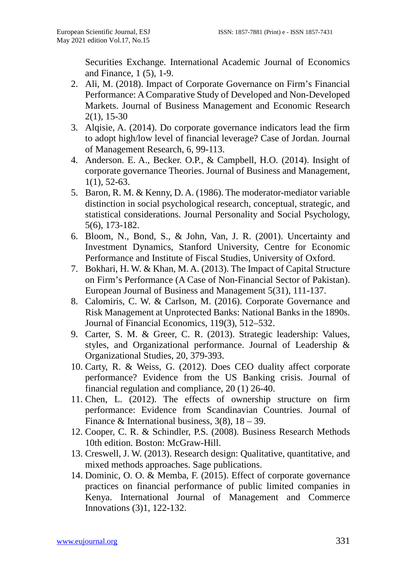Securities Exchange. International Academic Journal of Economics and Finance, 1 (5), 1-9.

- 2. Ali, M. (2018). Impact of Corporate Governance on Firm's Financial Performance: A Comparative Study of Developed and Non-Developed Markets. Journal of Business Management and Economic Research 2(1), 15-30
- 3. Alqisie, A. (2014). Do corporate governance indicators lead the firm to adopt high/low level of financial leverage? Case of Jordan. Journal of Management Research, 6, 99-113.
- 4. Anderson. E. A., Becker. O.P., & Campbell, H.O. (2014). Insight of corporate governance Theories. Journal of Business and Management, 1(1), 52-63.
- 5. Baron, R. M. & Kenny, D. A. (1986). The moderator-mediator variable distinction in social psychological research, conceptual, strategic, and statistical considerations. Journal Personality and Social Psychology, 5(6), 173-182.
- 6. Bloom, N., Bond, S., & John, Van, J. R. (2001). Uncertainty and Investment Dynamics, Stanford University, Centre for Economic Performance and Institute of Fiscal Studies, University of Oxford.
- 7. Bokhari, H. W. & Khan, M. A. (2013). The Impact of Capital Structure on Firm's Performance (A Case of Non-Financial Sector of Pakistan). European Journal of Business and Management 5(31), 111-137.
- 8. Calomiris, C. W. & Carlson, M. (2016). Corporate Governance and Risk Management at Unprotected Banks: National Banks in the 1890s. Journal of Financial Economics, 119(3), 512–532.
- 9. Carter, S. M. & Greer, C. R. (2013). Strategic leadership: Values, styles, and Organizational performance. Journal of Leadership & Organizational Studies, 20, 379-393.
- 10. Carty, R. & Weiss, G. (2012). Does CEO duality affect corporate performance? Evidence from the US Banking crisis. Journal of financial regulation and compliance, 20 (1) 26-40.
- 11. Chen, L. (2012). The effects of ownership structure on firm performance: Evidence from Scandinavian Countries. Journal of Finance & International business,  $3(8)$ ,  $18 - 39$ .
- 12. Cooper, C. R. & Schindler, P.S. (2008). Business Research Methods 10th edition. Boston: McGraw-Hill.
- 13. Creswell, J. W. (2013). Research design: Qualitative, quantitative, and mixed methods approaches. Sage publications.
- 14. Dominic, O. O. & Memba, F. (2015). Effect of corporate governance practices on financial performance of public limited companies in Kenya. International Journal of Management and Commerce Innovations (3)1, 122-132.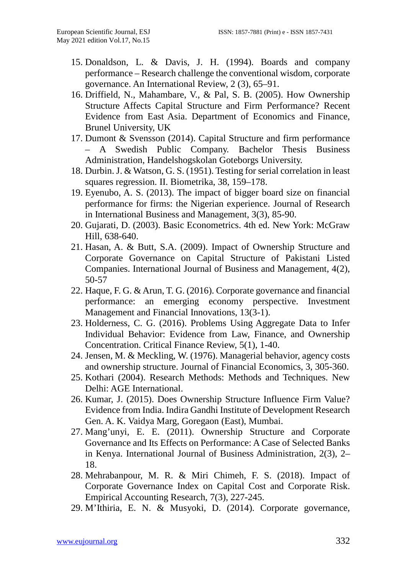- 15. Donaldson, L. & Davis, J. H. (1994). Boards and company performance – Research challenge the conventional wisdom, corporate governance. An International Review, 2 (3), 65–91.
- 16. Driffield, N., Mahambare, V., & Pal, S. B. (2005). How Ownership Structure Affects Capital Structure and Firm Performance? Recent Evidence from East Asia. Department of Economics and Finance, Brunel University, UK
- 17. Dumont & Svensson (2014). Capital Structure and firm performance – A Swedish Public Company. Bachelor Thesis Business Administration, Handelshogskolan Goteborgs University.
- 18. Durbin. J. & Watson, G. S. (1951). Testing for serial correlation in least squares regression. II. Biometrika, 38, 159–178.
- 19. Eyenubo, A. S. (2013). The impact of bigger board size on financial performance for firms: the Nigerian experience. Journal of Research in International Business and Management, 3(3), 85-90.
- 20. Gujarati, D. (2003). Basic Econometrics. 4th ed. New York: McGraw Hill, 638-640.
- 21. Hasan, A. & Butt, S.A. (2009). Impact of Ownership Structure and Corporate Governance on Capital Structure of Pakistani Listed Companies. International Journal of Business and Management, 4(2), 50-57
- 22. Haque, F. G. & Arun, T. G. (2016). Corporate governance and financial performance: an emerging economy perspective. Investment Management and Financial Innovations, 13(3-1).
- 23. Holderness, C. G. (2016). Problems Using Aggregate Data to Infer Individual Behavior: Evidence from Law, Finance, and Ownership Concentration. Critical Finance Review, 5(1), 1-40.
- 24. Jensen, M. & Meckling, W. (1976). Managerial behavior, agency costs and ownership structure. Journal of Financial Economics, 3, 305-360.
- 25. Kothari (2004). Research Methods: Methods and Techniques. New Delhi: AGE International.
- 26. Kumar, J. (2015). Does Ownership Structure Influence Firm Value? Evidence from India. Indira Gandhi Institute of Development Research Gen. A. K. Vaidya Marg, Goregaon (East), Mumbai.
- 27. Mang'unyi, E. E. (2011). Ownership Structure and Corporate Governance and Its Effects on Performance: A Case of Selected Banks in Kenya. International Journal of Business Administration, 2(3), 2– 18.
- 28. Mehrabanpour, M. R. & Miri Chimeh, F. S. (2018). Impact of Corporate Governance Index on Capital Cost and Corporate Risk. Empirical Accounting Research, 7(3), 227-245.
- 29. M'Ithiria, E. N. & Musyoki, D. (2014). Corporate governance,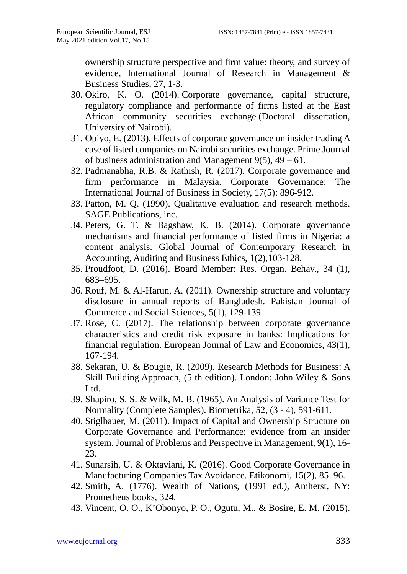ownership structure perspective and firm value: theory, and survey of evidence, International Journal of Research in Management & Business Studies, 27, 1-3.

- 30. Okiro, K. O. (2014). Corporate governance, capital structure, regulatory compliance and performance of firms listed at the East African community securities exchange (Doctoral dissertation, University of Nairobi).
- 31. Opiyo, E. (2013). Effects of corporate governance on insider trading A case of listed companies on Nairobi securities exchange. Prime Journal of business administration and Management  $9(5)$ ,  $49 - 61$ .
- 32. Padmanabha, R.B. & Rathish, R. (2017). Corporate governance and firm performance in Malaysia. Corporate Governance: The International Journal of Business in Society, 17(5): 896-912.
- 33. Patton, M. Q. (1990). Qualitative evaluation and research methods. SAGE Publications, inc.
- 34. Peters, G. T. & Bagshaw, K. B. (2014). Corporate governance mechanisms and financial performance of listed firms in Nigeria: a content analysis. Global Journal of Contemporary Research in Accounting, Auditing and Business Ethics, 1(2),103-128.
- 35. Proudfoot, D. (2016). Board Member: Res. Organ. Behav., 34 (1), 683–695.
- 36. Rouf, M. & Al-Harun, A. (2011). Ownership structure and voluntary disclosure in annual reports of Bangladesh. Pakistan Journal of Commerce and Social Sciences, 5(1), 129-139.
- 37. Rose, C. (2017). The relationship between corporate governance characteristics and credit risk exposure in banks: Implications for financial regulation. European Journal of Law and Economics, 43(1), 167-194.
- 38. Sekaran, U. & Bougie, R. (2009). Research Methods for Business: A Skill Building Approach, (5 th edition). London: John Wiley & Sons Ltd.
- 39. Shapiro, S. S. & Wilk, M. B. (1965). An Analysis of Variance Test for Normality (Complete Samples). Biometrika, 52, (3 - 4), 591-611.
- 40. Stiglbauer, M. (2011). Impact of Capital and Ownership Structure on Corporate Governance and Performance: evidence from an insider system. Journal of Problems and Perspective in Management, 9(1), 16- 23.
- 41. Sunarsih, U. & Oktaviani, K. (2016). Good Corporate Governance in Manufacturing Companies Tax Avoidance. Etikonomi, 15(2), 85–96.
- 42. Smith, A. (1776). Wealth of Nations, (1991 ed.), Amherst, NY: Prometheus books, 324.
- 43. Vincent, O. O., K'Obonyo, P. O., Ogutu, M., & Bosire, E. M. (2015).